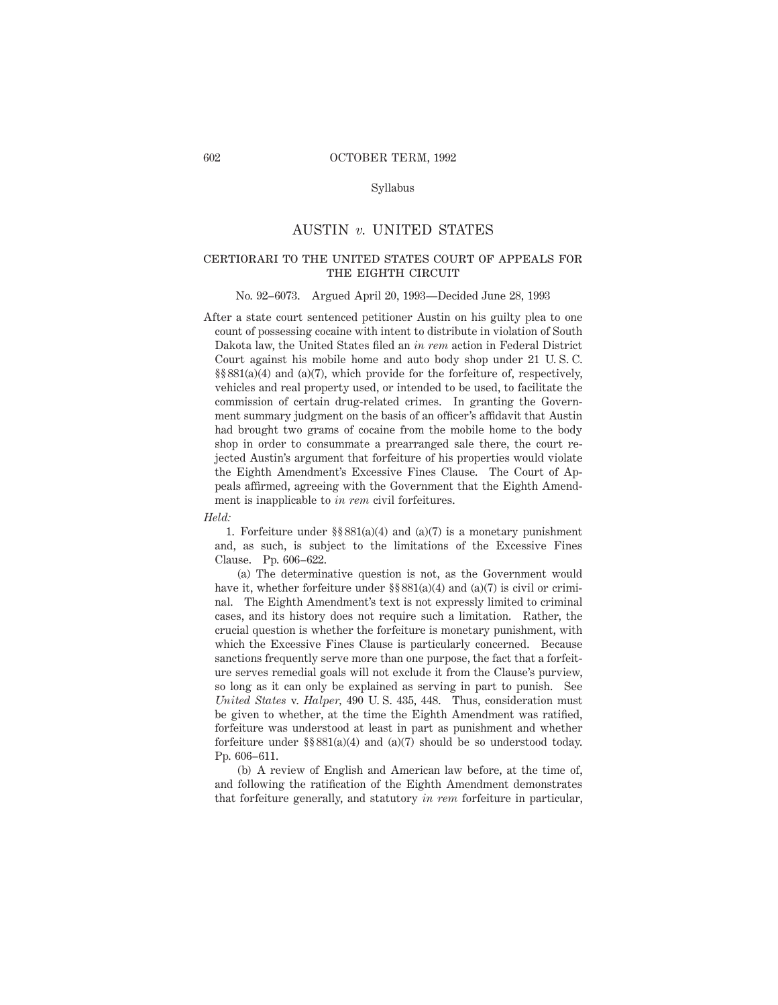# Syllabus

# AUSTIN *v.* UNITED STATES

# certiorari to the united states court of appeals forthe eighth circuit

#### No. 92–6073. Argued April 20, 1993—Decided June 28, 1993

After a state court sentenced petitioner Austin on his guilty plea to one count of possessing cocaine with intent to distribute in violation of South Dakota law, the United States filed an *in rem* action in Federal District Court against his mobile home and auto body shop under 21 U. S. C. §§ 881(a)(4) and (a)(7), which provide for the forfeiture of, respectively, vehicles and real property used, or intended to be used, to facilitate the commission of certain drug-related crimes. In granting the Government summary judgment on the basis of an officer's affidavit that Austin had brought two grams of cocaine from the mobile home to the body shop in order to consummate a prearranged sale there, the court rejected Austin's argument that forfeiture of his properties would violate the Eighth Amendment's Excessive Fines Clause. The Court of Appeals affirmed, agreeing with the Government that the Eighth Amendment is inapplicable to *in rem* civil forfeitures.

#### *Held:*

1. Forfeiture under  $\S$ § 881(a)(4) and (a)(7) is a monetary punishment and, as such, is subject to the limitations of the Excessive Fines Clause. Pp. 606–622.

(a) The determinative question is not, as the Government would have it, whether forfeiture under  $\S § 881(a)(4)$  and  $(a)(7)$  is civil or criminal. The Eighth Amendment's text is not expressly limited to criminal cases, and its history does not require such a limitation. Rather, the crucial question is whether the forfeiture is monetary punishment, with which the Excessive Fines Clause is particularly concerned. Because sanctions frequently serve more than one purpose, the fact that a forfeiture serves remedial goals will not exclude it from the Clause's purview, so long as it can only be explained as serving in part to punish. See *United States* v. *Halper,* 490 U. S. 435, 448. Thus, consideration must be given to whether, at the time the Eighth Amendment was ratified, forfeiture was understood at least in part as punishment and whether forfeiture under §§ 881(a)(4) and (a)(7) should be so understood today. Pp. 606–611.

(b) A review of English and American law before, at the time of, and following the ratification of the Eighth Amendment demonstrates that forfeiture generally, and statutory *in rem* forfeiture in particular,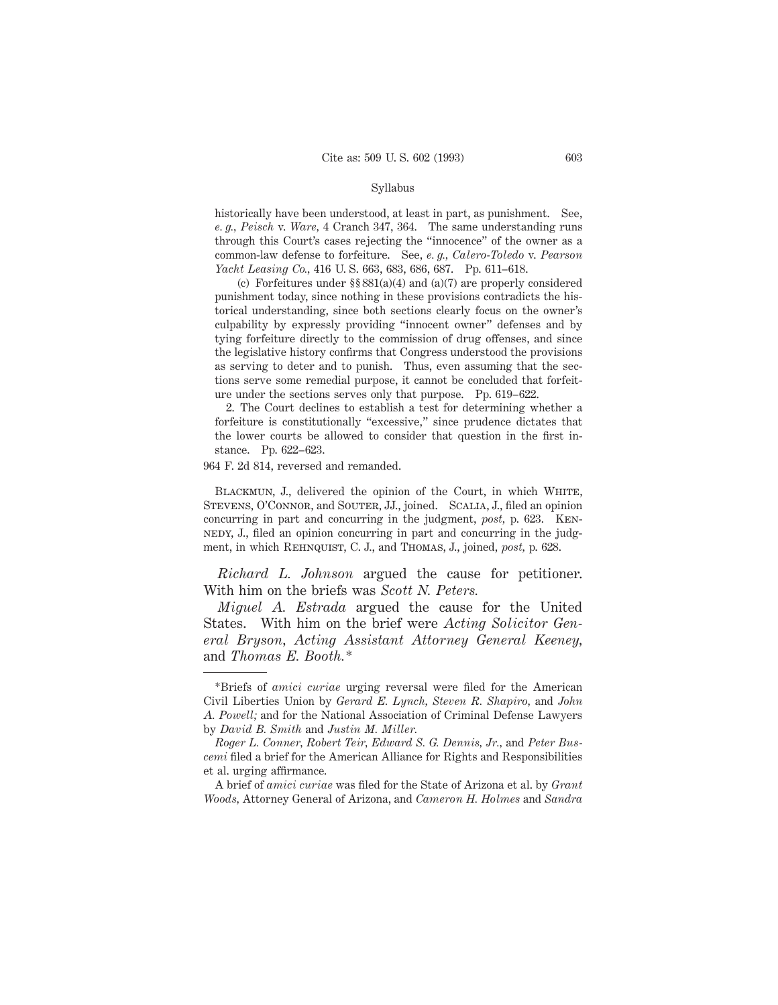#### Syllabus

historically have been understood, at least in part, as punishment. See, *e. g., Peisch* v. *Ware,* 4 Cranch 347, 364. The same understanding runs through this Court's cases rejecting the "innocence" of the owner as a common-law defense to forfeiture. See, *e. g., Calero-Toledo* v. *Pearson Yacht Leasing Co.,* 416 U. S. 663, 683, 686, 687. Pp. 611–618.

(c) Forfeitures under §§ 881(a)(4) and (a)(7) are properly considered punishment today, since nothing in these provisions contradicts the historical understanding, since both sections clearly focus on the owner's culpability by expressly providing "innocent owner" defenses and by tying forfeiture directly to the commission of drug offenses, and since the legislative history confirms that Congress understood the provisions as serving to deter and to punish. Thus, even assuming that the sections serve some remedial purpose, it cannot be concluded that forfeiture under the sections serves only that purpose. Pp. 619–622.

2. The Court declines to establish a test for determining whether a forfeiture is constitutionally "excessive," since prudence dictates that the lower courts be allowed to consider that question in the first instance. Pp. 622–623.

964 F. 2d 814, reversed and remanded.

BLACKMUN, J., delivered the opinion of the Court, in which WHITE, STEVENS, O'CONNOR, and SOUTER, JJ., joined. SCALIA, J., filed an opinion concurring in part and concurring in the judgment, *post,* p. 623. Kennedy, J., filed an opinion concurring in part and concurring in the judgment, in which REHNQUIST, C. J., and THOMAS, J., joined, *post*, p. 628.

*Richard L. Johnson* argued the cause for petitioner. With him on the briefs was *Scott N. Peters.*

*Miguel A. Estrada* argued the cause for the United States. With him on the brief were *Acting Solicitor General Bryson, Acting Assistant Attorney General Keeney,* and *Thomas E. Booth.\**

A brief of *amici curiae* was filed for the State of Arizona et al. by *Grant Woods,* Attorney General of Arizona, and *Cameron H. Holmes* and *Sandra*

<sup>\*</sup>Briefs of *amici curiae* urging reversal were filed for the American Civil Liberties Union by *Gerard E. Lynch, Steven R. Shapiro,* and *John A. Powell;* and for the National Association of Criminal Defense Lawyers by *David B. Smith* and *Justin M. Miller.*

*Roger L. Conner, Robert Teir, Edward S. G. Dennis, Jr.,* and *Peter Buscemi* filed a brief for the American Alliance for Rights and Responsibilities et al. urging affirmance.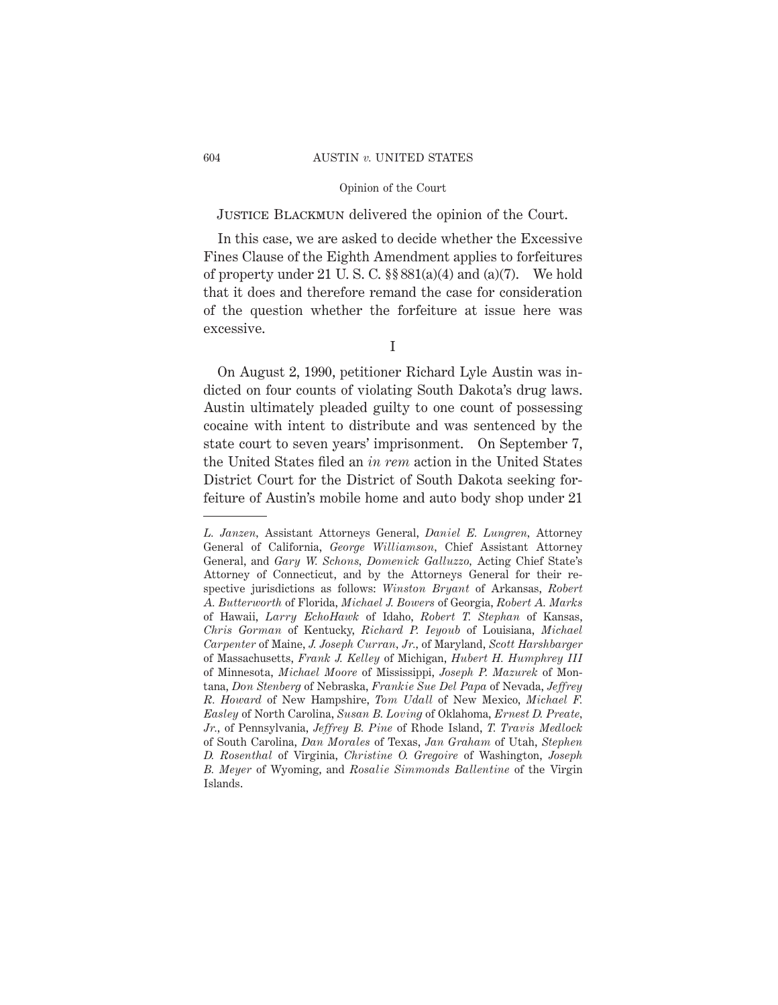### 604 AUSTIN *v.* UNITED STATES

### Opinion of the Court

# JUSTICE BLACKMUN delivered the opinion of the Court.

In this case, we are asked to decide whether the Excessive Fines Clause of the Eighth Amendment applies to forfeitures of property under 21 U. S. C. §§ 881(a)(4) and (a)(7). We hold that it does and therefore remand the case for consideration of the question whether the forfeiture at issue here was excessive.

On August 2, 1990, petitioner Richard Lyle Austin was indicted on four counts of violating South Dakota's drug laws. Austin ultimately pleaded guilty to one count of possessing cocaine with intent to distribute and was sentenced by the state court to seven years' imprisonment. On September 7, the United States filed an *in rem* action in the United States District Court for the District of South Dakota seeking forfeiture of Austin's mobile home and auto body shop under 21

I

*L. Janzen,* Assistant Attorneys General, *Daniel E. Lungren,* Attorney General of California, *George Williamson,* Chief Assistant Attorney General, and *Gary W. Schons, Domenick Galluzzo,* Acting Chief State's Attorney of Connecticut, and by the Attorneys General for their respective jurisdictions as follows: *Winston Bryant* of Arkansas, *Robert A. Butterworth* of Florida, *Michael J. Bowers* of Georgia, *Robert A. Marks* of Hawaii, *Larry EchoHawk* of Idaho, *Robert T. Stephan* of Kansas, *Chris Gorman* of Kentucky, *Richard P. Ieyoub* of Louisiana, *Michael Carpenter* of Maine, *J. Joseph Curran, Jr.,* of Maryland, *Scott Harshbarger* of Massachusetts, *Frank J. Kelley* of Michigan, *Hubert H. Humphrey III* of Minnesota, *Michael Moore* of Mississippi, *Joseph P. Mazurek* of Montana, *Don Stenberg* of Nebraska, *Frankie Sue Del Papa* of Nevada, *Jeffrey R. Howard* of New Hampshire, *Tom Udall* of New Mexico, *Michael F. Easley* of North Carolina, *Susan B. Loving* of Oklahoma, *Ernest D. Preate, Jr.,* of Pennsylvania, *Jeffrey B. Pine* of Rhode Island, *T. Travis Medlock* of South Carolina, *Dan Morales* of Texas, *Jan Graham* of Utah, *Stephen D. Rosenthal* of Virginia, *Christine O. Gregoire* of Washington, *Joseph B. Meyer* of Wyoming, and *Rosalie Simmonds Ballentine* of the Virgin Islands.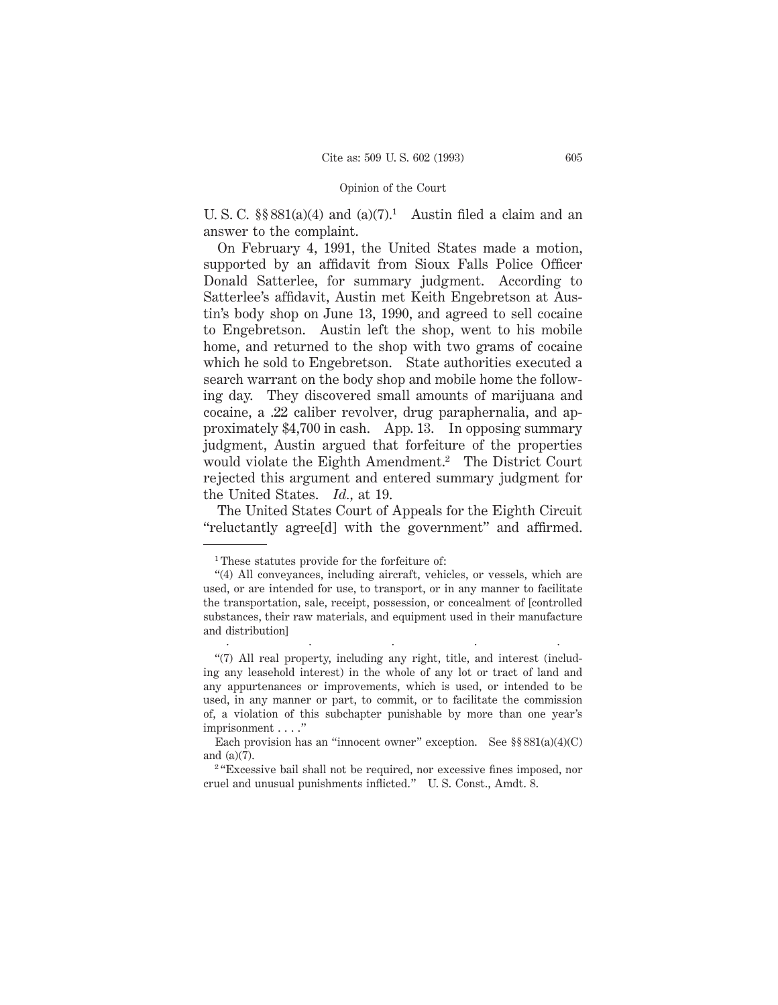U. S. C.  $\S$ § 881(a)(4) and (a)(7).<sup>1</sup> Austin filed a claim and an answer to the complaint.

On February 4, 1991, the United States made a motion, supported by an affidavit from Sioux Falls Police Officer Donald Satterlee, for summary judgment. According to Satterlee's affidavit, Austin met Keith Engebretson at Austin's body shop on June 13, 1990, and agreed to sell cocaine to Engebretson. Austin left the shop, went to his mobile home, and returned to the shop with two grams of cocaine which he sold to Engebretson. State authorities executed a search warrant on the body shop and mobile home the following day. They discovered small amounts of marijuana and cocaine, a .22 caliber revolver, drug paraphernalia, and approximately \$4,700 in cash. App. 13. In opposing summary judgment, Austin argued that forfeiture of the properties would violate the Eighth Amendment.2 The District Court rejected this argument and entered summary judgment for the United States. *Id.,* at 19.

The United States Court of Appeals for the Eighth Circuit "reluctantly agree[d] with the government" and affirmed.

.....

<sup>1</sup> These statutes provide for the forfeiture of:

<sup>&</sup>quot;(4) All conveyances, including aircraft, vehicles, or vessels, which are used, or are intended for use, to transport, or in any manner to facilitate the transportation, sale, receipt, possession, or concealment of [controlled substances, their raw materials, and equipment used in their manufacture and distribution]

<sup>&</sup>quot;(7) All real property, including any right, title, and interest (including any leasehold interest) in the whole of any lot or tract of land and any appurtenances or improvements, which is used, or intended to be used, in any manner or part, to commit, or to facilitate the commission of, a violation of this subchapter punishable by more than one year's imprisonment . . . ."

Each provision has an "innocent owner" exception. See  $\S$   $881(a)(4)(C)$ and (a)(7).

<sup>&</sup>lt;sup>2</sup> "Excessive bail shall not be required, nor excessive fines imposed, nor cruel and unusual punishments inflicted." U. S. Const., Amdt. 8.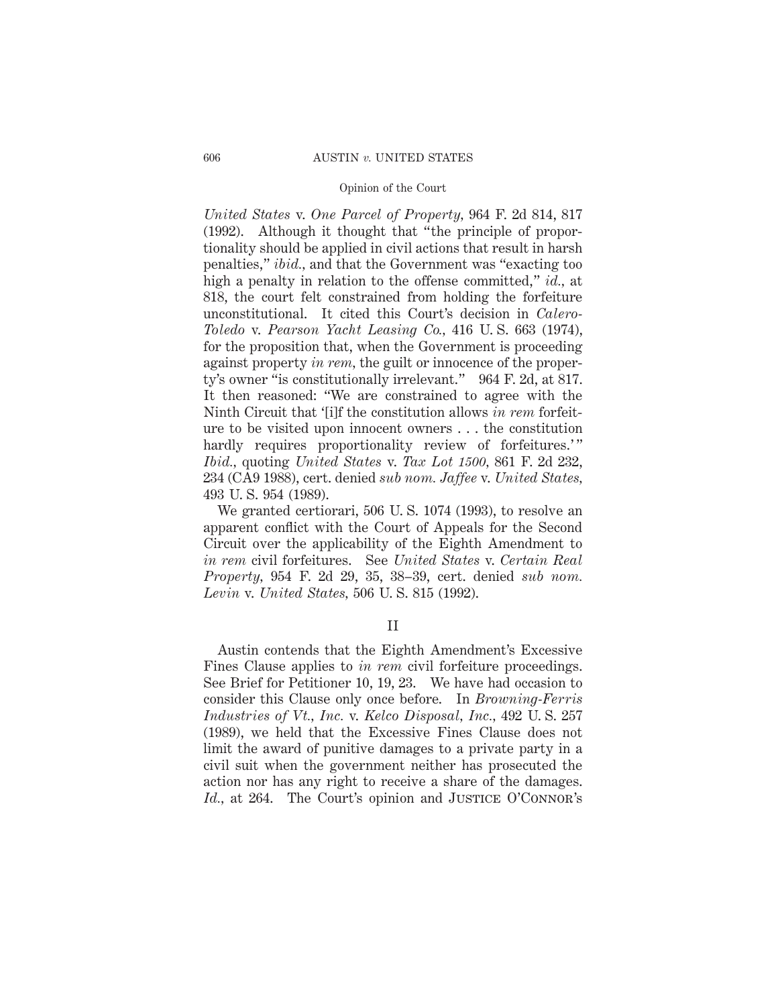*United States* v. *One Parcel of Property,* 964 F. 2d 814, 817 (1992). Although it thought that "the principle of proportionality should be applied in civil actions that result in harsh penalties," *ibid.,* and that the Government was "exacting too high a penalty in relation to the offense committed," *id.,* at 818, the court felt constrained from holding the forfeiture unconstitutional. It cited this Court's decision in *Calero-Toledo* v. *Pearson Yacht Leasing Co.,* 416 U. S. 663 (1974), for the proposition that, when the Government is proceeding against property *in rem,* the guilt or innocence of the property's owner "is constitutionally irrelevant." 964 F. 2d, at 817. It then reasoned: "We are constrained to agree with the Ninth Circuit that '[i]f the constitution allows *in rem* forfeiture to be visited upon innocent owners . . . the constitution hardly requires proportionality review of forfeitures.'" *Ibid.,* quoting *United States* v. *Tax Lot 1500,* 861 F. 2d 232, 234 (CA9 1988), cert. denied *sub nom. Jaffee* v. *United States,* 493 U. S. 954 (1989).

We granted certiorari, 506 U. S. 1074 (1993), to resolve an apparent conflict with the Court of Appeals for the Second Circuit over the applicability of the Eighth Amendment to *in rem* civil forfeitures. See *United States* v. *Certain Real Property,* 954 F. 2d 29, 35, 38–39, cert. denied *sub nom. Levin* v. *United States,* 506 U. S. 815 (1992).

II

Austin contends that the Eighth Amendment's Excessive Fines Clause applies to *in rem* civil forfeiture proceedings. See Brief for Petitioner 10, 19, 23. We have had occasion to consider this Clause only once before. In *Browning-Ferris Industries of Vt., Inc.* v. *Kelco Disposal, Inc.,* 492 U. S. 257 (1989), we held that the Excessive Fines Clause does not limit the award of punitive damages to a private party in a civil suit when the government neither has prosecuted the action nor has any right to receive a share of the damages. *Id.*, at 264. The Court's opinion and JUSTICE O'CONNOR's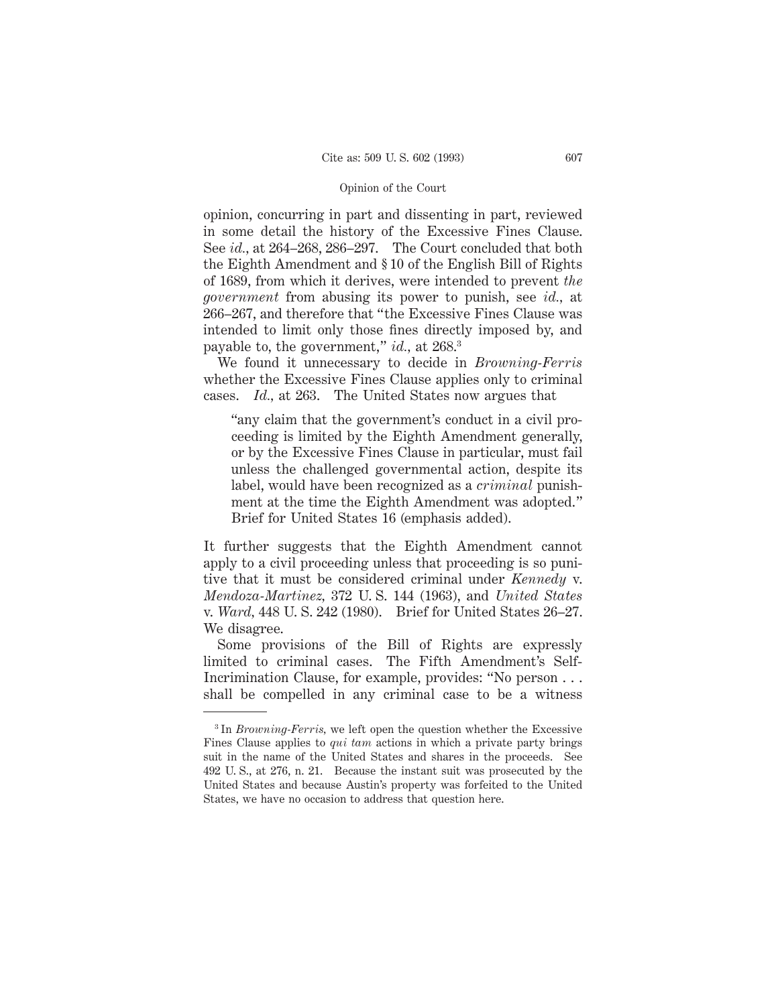opinion, concurring in part and dissenting in part, reviewed in some detail the history of the Excessive Fines Clause. See *id.,* at 264–268, 286–297. The Court concluded that both the Eighth Amendment and § 10 of the English Bill of Rights of 1689, from which it derives, were intended to prevent *the government* from abusing its power to punish, see *id.,* at 266–267, and therefore that "the Excessive Fines Clause was intended to limit only those fines directly imposed by, and payable to, the government," *id.,* at 268.3

We found it unnecessary to decide in *Browning-Ferris* whether the Excessive Fines Clause applies only to criminal cases. *Id.,* at 263. The United States now argues that

"any claim that the government's conduct in a civil proceeding is limited by the Eighth Amendment generally, or by the Excessive Fines Clause in particular, must fail unless the challenged governmental action, despite its label, would have been recognized as a *criminal* punishment at the time the Eighth Amendment was adopted." Brief for United States 16 (emphasis added).

It further suggests that the Eighth Amendment cannot apply to a civil proceeding unless that proceeding is so punitive that it must be considered criminal under *Kennedy* v. *Mendoza-Martinez,* 372 U. S. 144 (1963), and *United States* v. *Ward,* 448 U. S. 242 (1980). Brief for United States 26–27. We disagree.

Some provisions of the Bill of Rights are expressly limited to criminal cases. The Fifth Amendment's Self-Incrimination Clause, for example, provides: "No person . . . shall be compelled in any criminal case to be a witness

<sup>3</sup> In *Browning-Ferris,* we left open the question whether the Excessive Fines Clause applies to *qui tam* actions in which a private party brings suit in the name of the United States and shares in the proceeds. See 492 U. S., at 276, n. 21. Because the instant suit was prosecuted by the United States and because Austin's property was forfeited to the United States, we have no occasion to address that question here.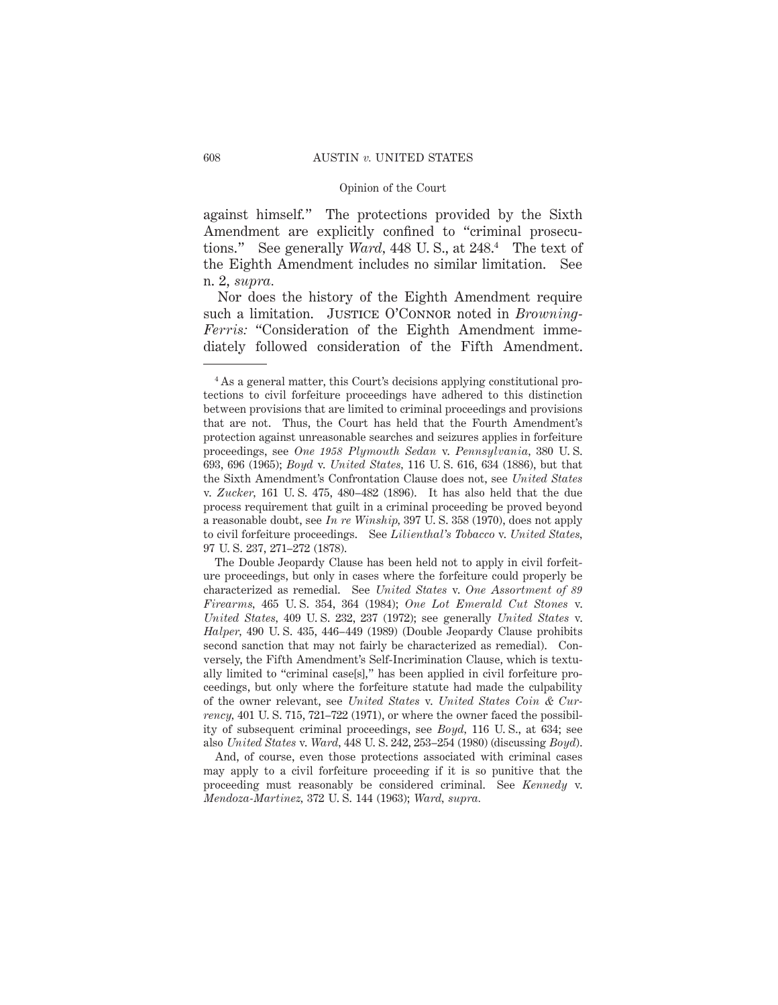against himself." The protections provided by the Sixth Amendment are explicitly confined to "criminal prosecutions." See generally *Ward,* 448 U. S., at 248.4 The text of the Eighth Amendment includes no similar limitation. See n. 2, *supra.*

Nor does the history of the Eighth Amendment require such a limitation. JUSTICE O'CONNOR noted in *Browning*-*Ferris:* "Consideration of the Eighth Amendment immediately followed consideration of the Fifth Amendment.

And, of course, even those protections associated with criminal cases may apply to a civil forfeiture proceeding if it is so punitive that the proceeding must reasonably be considered criminal. See *Kennedy* v. *Mendoza-Martinez,* 372 U. S. 144 (1963); *Ward, supra.*

<sup>4</sup> As a general matter, this Court's decisions applying constitutional protections to civil forfeiture proceedings have adhered to this distinction between provisions that are limited to criminal proceedings and provisions that are not. Thus, the Court has held that the Fourth Amendment's protection against unreasonable searches and seizures applies in forfeiture proceedings, see *One 1958 Plymouth Sedan* v. *Pennsylvania,* 380 U. S. 693, 696 (1965); *Boyd* v. *United States,* 116 U. S. 616, 634 (1886), but that the Sixth Amendment's Confrontation Clause does not, see *United States* v. *Zucker,* 161 U. S. 475, 480–482 (1896). It has also held that the due process requirement that guilt in a criminal proceeding be proved beyond a reasonable doubt, see *In re Winship,* 397 U. S. 358 (1970), does not apply to civil forfeiture proceedings. See *Lilienthal's Tobacco* v. *United States,* 97 U. S. 237, 271–272 (1878).

The Double Jeopardy Clause has been held not to apply in civil forfeiture proceedings, but only in cases where the forfeiture could properly be characterized as remedial. See *United States* v. *One Assortment of 89 Firearms,* 465 U. S. 354, 364 (1984); *One Lot Emerald Cut Stones* v. *United States,* 409 U. S. 232, 237 (1972); see generally *United States* v. *Halper,* 490 U. S. 435, 446–449 (1989) (Double Jeopardy Clause prohibits second sanction that may not fairly be characterized as remedial). Conversely, the Fifth Amendment's Self-Incrimination Clause, which is textually limited to "criminal case[s]," has been applied in civil forfeiture proceedings, but only where the forfeiture statute had made the culpability of the owner relevant, see *United States* v. *United States Coin & Currency,* 401 U. S. 715, 721–722 (1971), or where the owner faced the possibility of subsequent criminal proceedings, see *Boyd,* 116 U. S., at 634; see also *United States* v. *Ward,* 448 U. S. 242, 253–254 (1980) (discussing *Boyd*).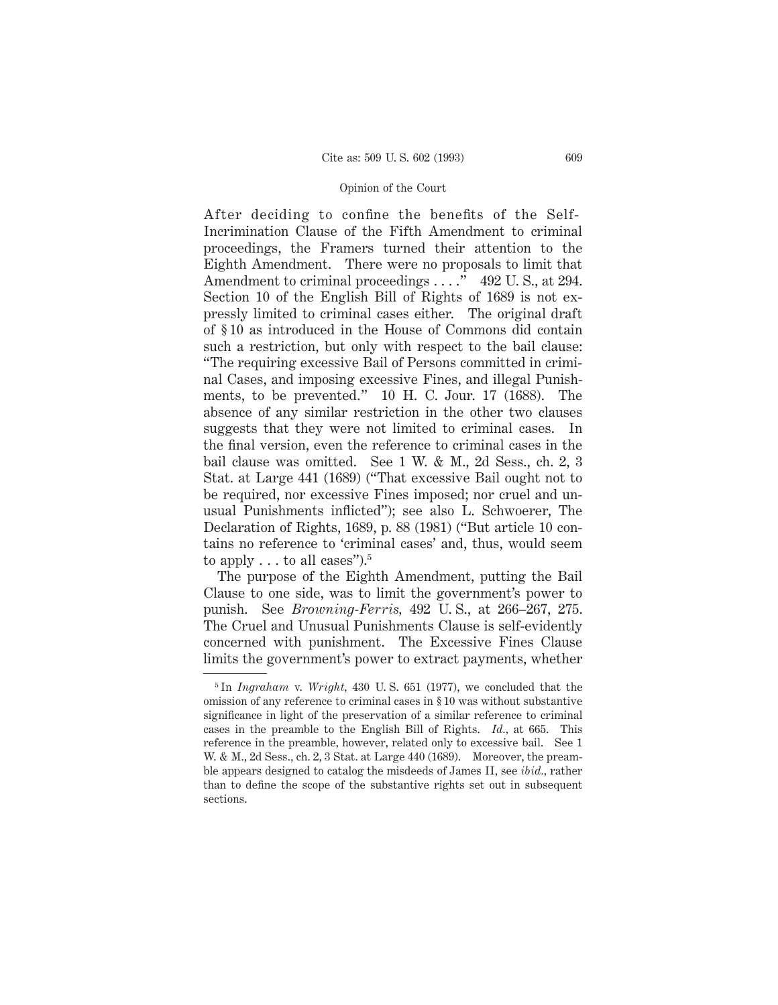After deciding to confine the benefits of the Self-Incrimination Clause of the Fifth Amendment to criminal proceedings, the Framers turned their attention to the Eighth Amendment. There were no proposals to limit that Amendment to criminal proceedings . . . . . 492 U.S., at 294. Section 10 of the English Bill of Rights of 1689 is not expressly limited to criminal cases either. The original draft of § 10 as introduced in the House of Commons did contain such a restriction, but only with respect to the bail clause: "The requiring excessive Bail of Persons committed in criminal Cases, and imposing excessive Fines, and illegal Punishments, to be prevented." 10 H. C. Jour. 17 (1688). The absence of any similar restriction in the other two clauses suggests that they were not limited to criminal cases. In the final version, even the reference to criminal cases in the bail clause was omitted. See 1 W. & M., 2d Sess., ch. 2, 3 Stat. at Large 441 (1689) ("That excessive Bail ought not to be required, nor excessive Fines imposed; nor cruel and unusual Punishments inflicted"); see also L. Schwoerer, The Declaration of Rights, 1689, p. 88 (1981) ("But article 10 contains no reference to 'criminal cases' and, thus, would seem to apply  $\dots$  to all cases").<sup>5</sup>

The purpose of the Eighth Amendment, putting the Bail Clause to one side, was to limit the government's power to punish. See *Browning-Ferris,* 492 U. S., at 266–267, 275. The Cruel and Unusual Punishments Clause is self-evidently concerned with punishment. The Excessive Fines Clause limits the government's power to extract payments, whether

<sup>5</sup> In *Ingraham* v. *Wright,* 430 U. S. 651 (1977), we concluded that the omission of any reference to criminal cases in § 10 was without substantive significance in light of the preservation of a similar reference to criminal cases in the preamble to the English Bill of Rights. *Id.,* at 665. This reference in the preamble, however, related only to excessive bail. See 1 W. & M., 2d Sess., ch. 2, 3 Stat. at Large 440 (1689). Moreover, the preamble appears designed to catalog the misdeeds of James II, see *ibid.,* rather than to define the scope of the substantive rights set out in subsequent sections.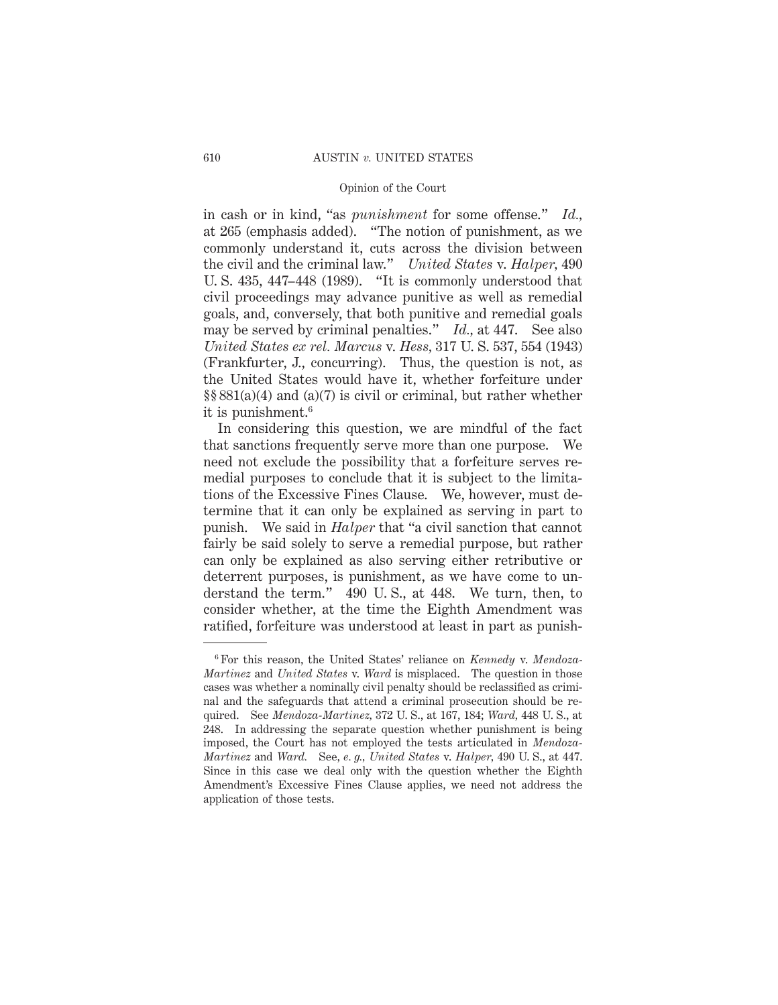in cash or in kind, "as *punishment* for some offense." *Id.,* at 265 (emphasis added). "The notion of punishment, as we commonly understand it, cuts across the division between the civil and the criminal law." *United States* v. *Halper,* 490 U. S. 435, 447–448 (1989). "It is commonly understood that civil proceedings may advance punitive as well as remedial goals, and, conversely, that both punitive and remedial goals may be served by criminal penalties." *Id.,* at 447. See also *United States ex rel. Marcus* v. *Hess,* 317 U. S. 537, 554 (1943) (Frankfurter, J., concurring). Thus, the question is not, as the United States would have it, whether forfeiture under §§ 881(a)(4) and (a)(7) is civil or criminal, but rather whether it is punishment.6

In considering this question, we are mindful of the fact that sanctions frequently serve more than one purpose. We need not exclude the possibility that a forfeiture serves remedial purposes to conclude that it is subject to the limitations of the Excessive Fines Clause. We, however, must determine that it can only be explained as serving in part to punish. We said in *Halper* that "a civil sanction that cannot fairly be said solely to serve a remedial purpose, but rather can only be explained as also serving either retributive or deterrent purposes, is punishment, as we have come to understand the term." 490 U. S., at 448. We turn, then, to consider whether, at the time the Eighth Amendment was ratified, forfeiture was understood at least in part as punish-

<sup>6</sup> For this reason, the United States' reliance on *Kennedy* v. *Mendoza-Martinez* and *United States* v. *Ward* is misplaced. The question in those cases was whether a nominally civil penalty should be reclassified as criminal and the safeguards that attend a criminal prosecution should be required. See *Mendoza-Martinez,* 372 U. S., at 167, 184; *Ward,* 448 U. S., at 248. In addressing the separate question whether punishment is being imposed, the Court has not employed the tests articulated in *Mendoza-Martinez* and *Ward.* See, *e. g., United States* v. *Halper,* 490 U. S., at 447. Since in this case we deal only with the question whether the Eighth Amendment's Excessive Fines Clause applies, we need not address the application of those tests.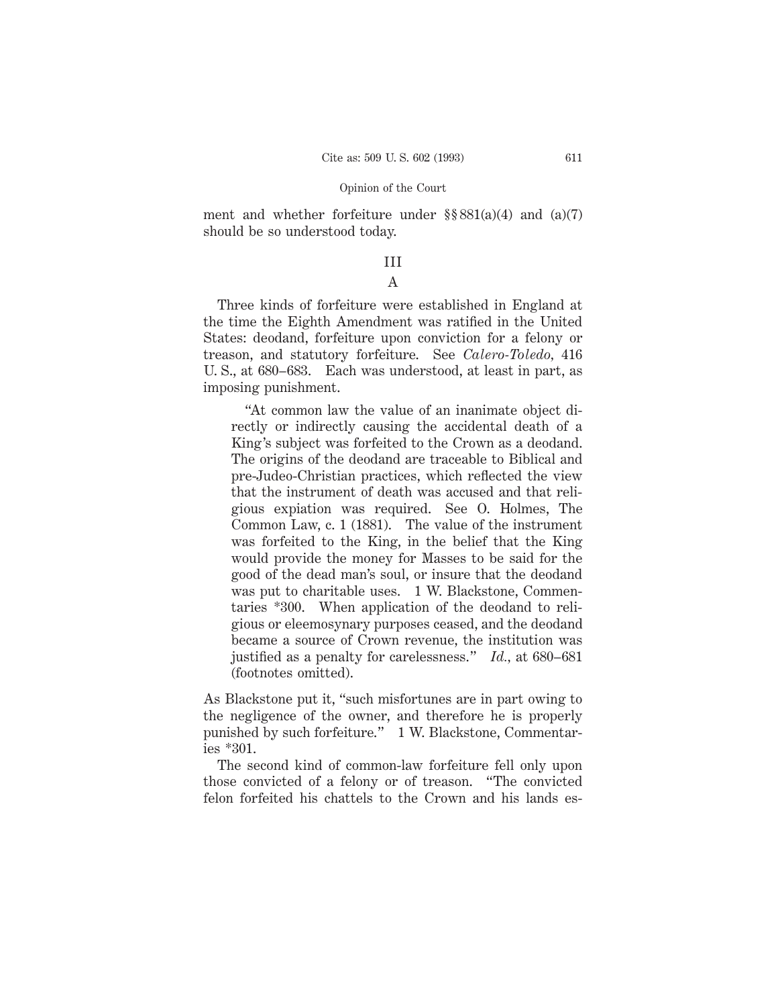ment and whether forfeiture under  $\S § 881(a)(4)$  and  $(a)(7)$ should be so understood today.

# III

# A

Three kinds of forfeiture were established in England at the time the Eighth Amendment was ratified in the United States: deodand, forfeiture upon conviction for a felony or treason, and statutory forfeiture. See *Calero-Toledo,* 416 U. S., at 680–683. Each was understood, at least in part, as imposing punishment.

"At common law the value of an inanimate object directly or indirectly causing the accidental death of a King's subject was forfeited to the Crown as a deodand. The origins of the deodand are traceable to Biblical and pre-Judeo-Christian practices, which reflected the view that the instrument of death was accused and that religious expiation was required. See O. Holmes, The Common Law, c. 1 (1881). The value of the instrument was forfeited to the King, in the belief that the King would provide the money for Masses to be said for the good of the dead man's soul, or insure that the deodand was put to charitable uses. 1 W. Blackstone, Commentaries \*300. When application of the deodand to religious or eleemosynary purposes ceased, and the deodand became a source of Crown revenue, the institution was justified as a penalty for carelessness." *Id.,* at 680–681 (footnotes omitted).

As Blackstone put it, "such misfortunes are in part owing to the negligence of the owner, and therefore he is properly punished by such forfeiture." 1 W. Blackstone, Commentaries \*301.

The second kind of common-law forfeiture fell only upon those convicted of a felony or of treason. "The convicted felon forfeited his chattels to the Crown and his lands es-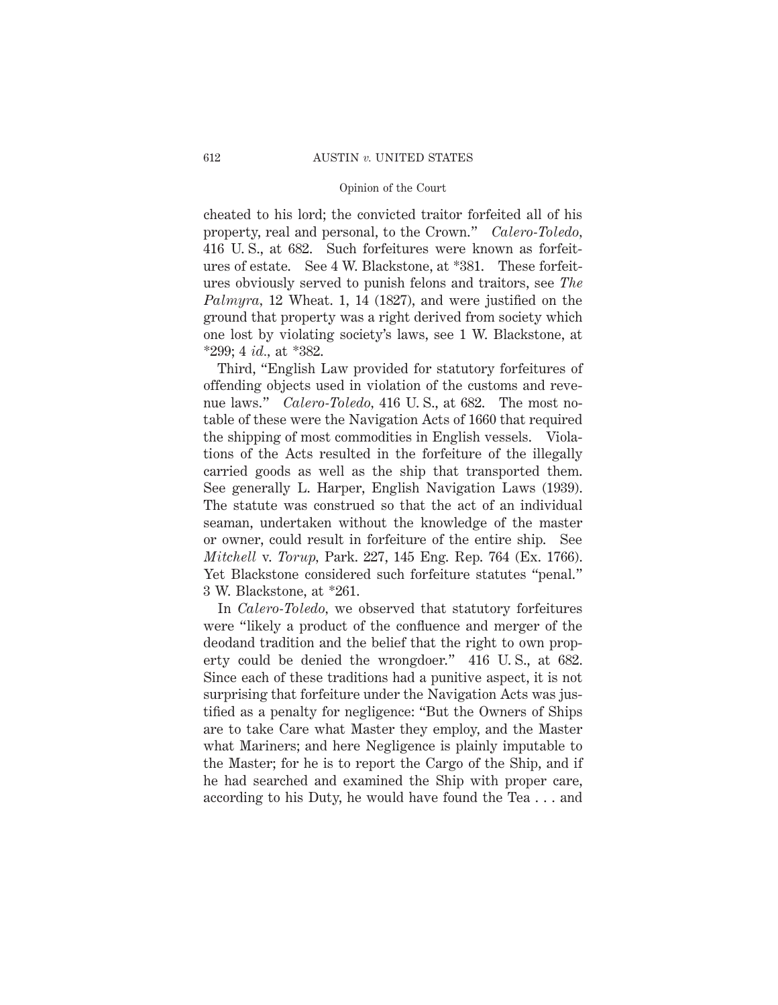cheated to his lord; the convicted traitor forfeited all of his property, real and personal, to the Crown." *Calero-Toledo,* 416 U. S., at 682. Such forfeitures were known as forfeitures of estate. See 4 W. Blackstone, at \*381. These forfeitures obviously served to punish felons and traitors, see *The Palmyra,* 12 Wheat. 1, 14 (1827), and were justified on the ground that property was a right derived from society which one lost by violating society's laws, see 1 W. Blackstone, at \*299; 4 *id.,* at \*382.

Third, "English Law provided for statutory forfeitures of offending objects used in violation of the customs and revenue laws." *Calero-Toledo*, 416 U.S., at 682. The most notable of these were the Navigation Acts of 1660 that required the shipping of most commodities in English vessels. Violations of the Acts resulted in the forfeiture of the illegally carried goods as well as the ship that transported them. See generally L. Harper, English Navigation Laws (1939). The statute was construed so that the act of an individual seaman, undertaken without the knowledge of the master or owner, could result in forfeiture of the entire ship. See *Mitchell* v. *Torup,* Park. 227, 145 Eng. Rep. 764 (Ex. 1766). Yet Blackstone considered such forfeiture statutes "penal." 3 W. Blackstone, at \*261.

In *Calero-Toledo,* we observed that statutory forfeitures were "likely a product of the confluence and merger of the deodand tradition and the belief that the right to own property could be denied the wrongdoer." 416 U. S., at 682. Since each of these traditions had a punitive aspect, it is not surprising that forfeiture under the Navigation Acts was justified as a penalty for negligence: "But the Owners of Ships are to take Care what Master they employ, and the Master what Mariners; and here Negligence is plainly imputable to the Master; for he is to report the Cargo of the Ship, and if he had searched and examined the Ship with proper care, according to his Duty, he would have found the Tea . . . and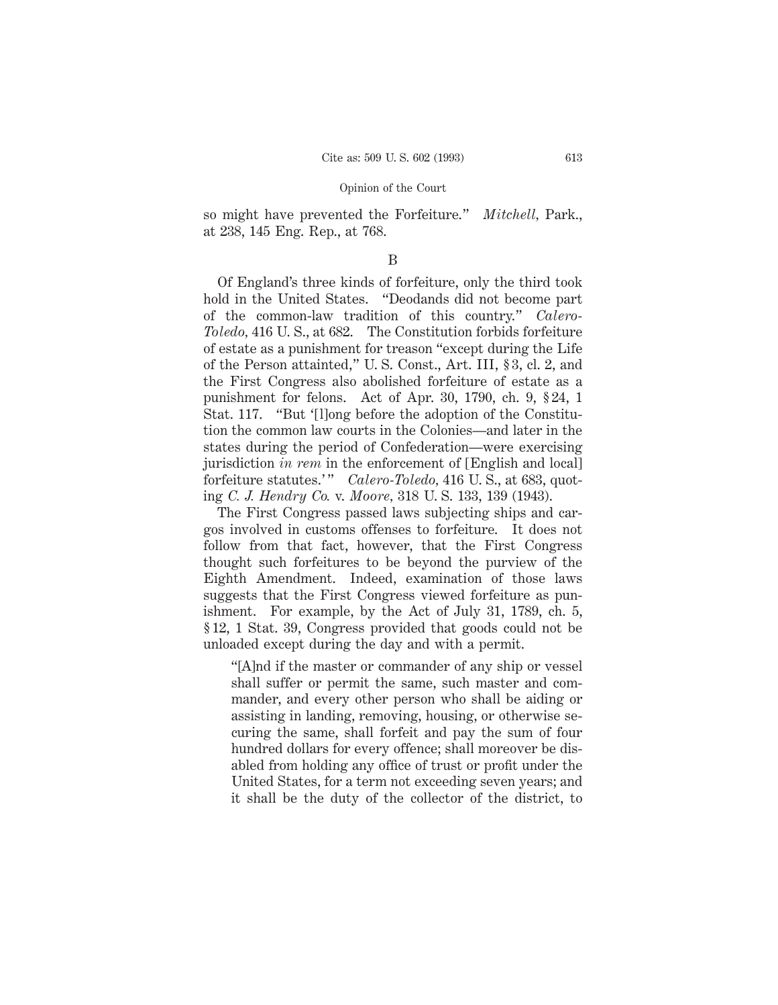so might have prevented the Forfeiture." *Mitchell,* Park., at 238, 145 Eng. Rep., at 768.

# B

Of England's three kinds of forfeiture, only the third took hold in the United States. "Deodands did not become part of the common-law tradition of this country." *Calero-Toledo,* 416 U. S., at 682. The Constitution forbids forfeiture of estate as a punishment for treason "except during the Life of the Person attainted," U. S. Const., Art. III, § 3, cl. 2, and the First Congress also abolished forfeiture of estate as a punishment for felons. Act of Apr. 30, 1790, ch. 9, § 24, 1 Stat. 117. "But '[l]ong before the adoption of the Constitution the common law courts in the Colonies—and later in the states during the period of Confederation—were exercising jurisdiction *in rem* in the enforcement of [English and local] forfeiture statutes.'" *Calero-Toledo*, 416 U.S., at 683, quoting *C. J. Hendry Co.* v. *Moore,* 318 U. S. 133, 139 (1943).

The First Congress passed laws subjecting ships and cargos involved in customs offenses to forfeiture. It does not follow from that fact, however, that the First Congress thought such forfeitures to be beyond the purview of the Eighth Amendment. Indeed, examination of those laws suggests that the First Congress viewed forfeiture as punishment. For example, by the Act of July 31, 1789, ch. 5, § 12, 1 Stat. 39, Congress provided that goods could not be unloaded except during the day and with a permit.

"[A]nd if the master or commander of any ship or vessel shall suffer or permit the same, such master and commander, and every other person who shall be aiding or assisting in landing, removing, housing, or otherwise securing the same, shall forfeit and pay the sum of four hundred dollars for every offence; shall moreover be disabled from holding any office of trust or profit under the United States, for a term not exceeding seven years; and it shall be the duty of the collector of the district, to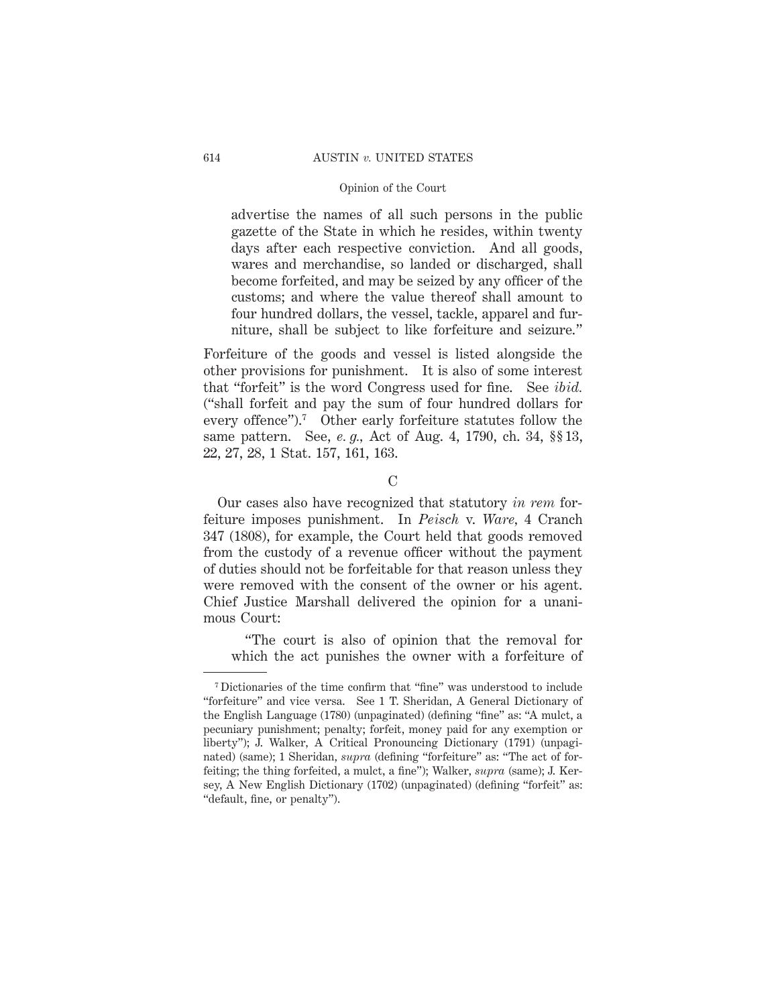advertise the names of all such persons in the public gazette of the State in which he resides, within twenty days after each respective conviction. And all goods, wares and merchandise, so landed or discharged, shall become forfeited, and may be seized by any officer of the customs; and where the value thereof shall amount to four hundred dollars, the vessel, tackle, apparel and furniture, shall be subject to like forfeiture and seizure."

Forfeiture of the goods and vessel is listed alongside the other provisions for punishment. It is also of some interest that "forfeit" is the word Congress used for fine. See *ibid.* ("shall forfeit and pay the sum of four hundred dollars for every offence").7 Other early forfeiture statutes follow the same pattern. See, *e. g.,* Act of Aug. 4, 1790, ch. 34, §§ 13, 22, 27, 28, 1 Stat. 157, 161, 163.

C

Our cases also have recognized that statutory *in rem* forfeiture imposes punishment. In *Peisch* v. *Ware,* 4 Cranch 347 (1808), for example, the Court held that goods removed from the custody of a revenue officer without the payment of duties should not be forfeitable for that reason unless they were removed with the consent of the owner or his agent. Chief Justice Marshall delivered the opinion for a unanimous Court:

"The court is also of opinion that the removal for which the act punishes the owner with a forfeiture of

<sup>7</sup> Dictionaries of the time confirm that "fine" was understood to include "forfeiture" and vice versa. See 1 T. Sheridan, A General Dictionary of the English Language (1780) (unpaginated) (defining "fine" as: "A mulct, a pecuniary punishment; penalty; forfeit, money paid for any exemption or liberty"); J. Walker, A Critical Pronouncing Dictionary (1791) (unpaginated) (same); 1 Sheridan, *supra* (defining "forfeiture" as: "The act of forfeiting; the thing forfeited, a mulct, a fine"); Walker, *supra* (same); J. Kersey, A New English Dictionary (1702) (unpaginated) (defining "forfeit" as: "default, fine, or penalty").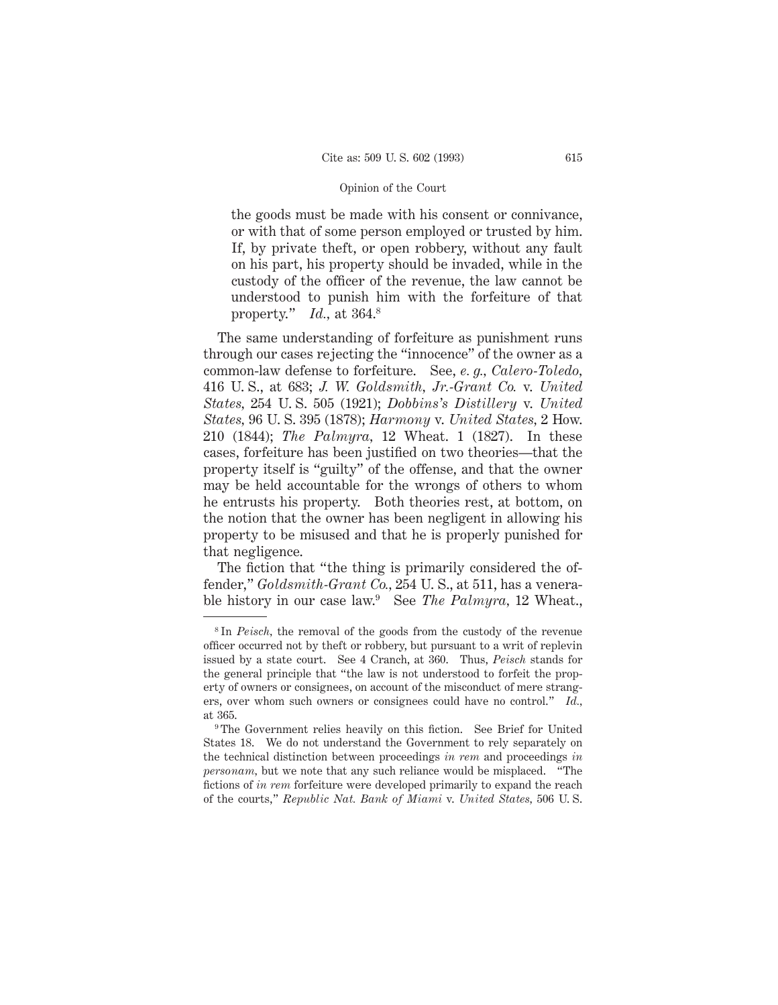the goods must be made with his consent or connivance, or with that of some person employed or trusted by him. If, by private theft, or open robbery, without any fault on his part, his property should be invaded, while in the custody of the officer of the revenue, the law cannot be understood to punish him with the forfeiture of that property." *Id.,* at 364.8

The same understanding of forfeiture as punishment runs through our cases rejecting the "innocence" of the owner as a common-law defense to forfeiture. See, *e. g., Calero-Toledo,* 416 U. S., at 683; *J. W. Goldsmith, Jr.-Grant Co.* v. *United States,* 254 U. S. 505 (1921); *Dobbins's Distillery* v. *United States,* 96 U. S. 395 (1878); *Harmony* v. *United States,* 2 How. 210 (1844); *The Palmyra,* 12 Wheat. 1 (1827). In these cases, forfeiture has been justified on two theories—that the property itself is "guilty" of the offense, and that the owner may be held accountable for the wrongs of others to whom he entrusts his property. Both theories rest, at bottom, on the notion that the owner has been negligent in allowing his property to be misused and that he is properly punished for that negligence.

The fiction that "the thing is primarily considered the offender," *Goldsmith-Grant Co.,* 254 U. S., at 511, has a venerable history in our case law.9 See *The Palmyra,* 12 Wheat.,

<sup>8</sup> In *Peisch,* the removal of the goods from the custody of the revenue officer occurred not by theft or robbery, but pursuant to a writ of replevin issued by a state court. See 4 Cranch, at 360. Thus, *Peisch* stands for the general principle that "the law is not understood to forfeit the property of owners or consignees, on account of the misconduct of mere strangers, over whom such owners or consignees could have no control." *Id.,* at 365.

<sup>&</sup>lt;sup>9</sup> The Government relies heavily on this fiction. See Brief for United States 18. We do not understand the Government to rely separately on the technical distinction between proceedings *in rem* and proceedings *in personam,* but we note that any such reliance would be misplaced. "The fictions of *in rem* forfeiture were developed primarily to expand the reach of the courts," *Republic Nat. Bank of Miami* v. *United States,* 506 U. S.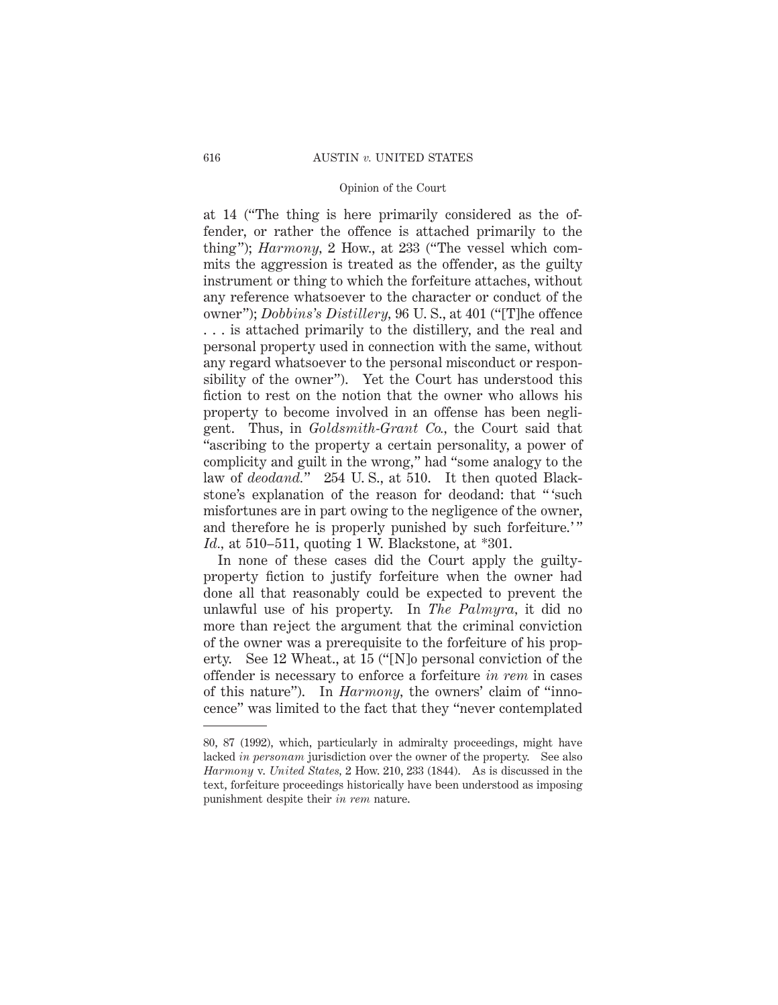at 14 ("The thing is here primarily considered as the offender, or rather the offence is attached primarily to the thing"); *Harmony,* 2 How., at 233 ("The vessel which commits the aggression is treated as the offender, as the guilty instrument or thing to which the forfeiture attaches, without any reference whatsoever to the character or conduct of the owner"); *Dobbins's Distillery,* 96 U. S., at 401 ("[T]he offence . . . is attached primarily to the distillery, and the real and personal property used in connection with the same, without any regard whatsoever to the personal misconduct or responsibility of the owner"). Yet the Court has understood this fiction to rest on the notion that the owner who allows his property to become involved in an offense has been negligent. Thus, in *Goldsmith-Grant Co.,* the Court said that "ascribing to the property a certain personality, a power of complicity and guilt in the wrong," had "some analogy to the law of *deodand.*" 254 U.S., at 510. It then quoted Blackstone's explanation of the reason for deodand: that " 'such misfortunes are in part owing to the negligence of the owner, and therefore he is properly punished by such forfeiture.'" *Id.,* at 510–511, quoting 1 W. Blackstone, at \*301.

In none of these cases did the Court apply the guiltyproperty fiction to justify forfeiture when the owner had done all that reasonably could be expected to prevent the unlawful use of his property. In *The Palmyra,* it did no more than reject the argument that the criminal conviction of the owner was a prerequisite to the forfeiture of his property. See 12 Wheat., at 15 ("[N]o personal conviction of the offender is necessary to enforce a forfeiture *in rem* in cases of this nature"). In *Harmony,* the owners' claim of "innocence" was limited to the fact that they "never contemplated

<sup>80, 87 (1992),</sup> which, particularly in admiralty proceedings, might have lacked *in personam* jurisdiction over the owner of the property. See also *Harmony* v. *United States,* 2 How. 210, 233 (1844). As is discussed in the text, forfeiture proceedings historically have been understood as imposing punishment despite their *in rem* nature.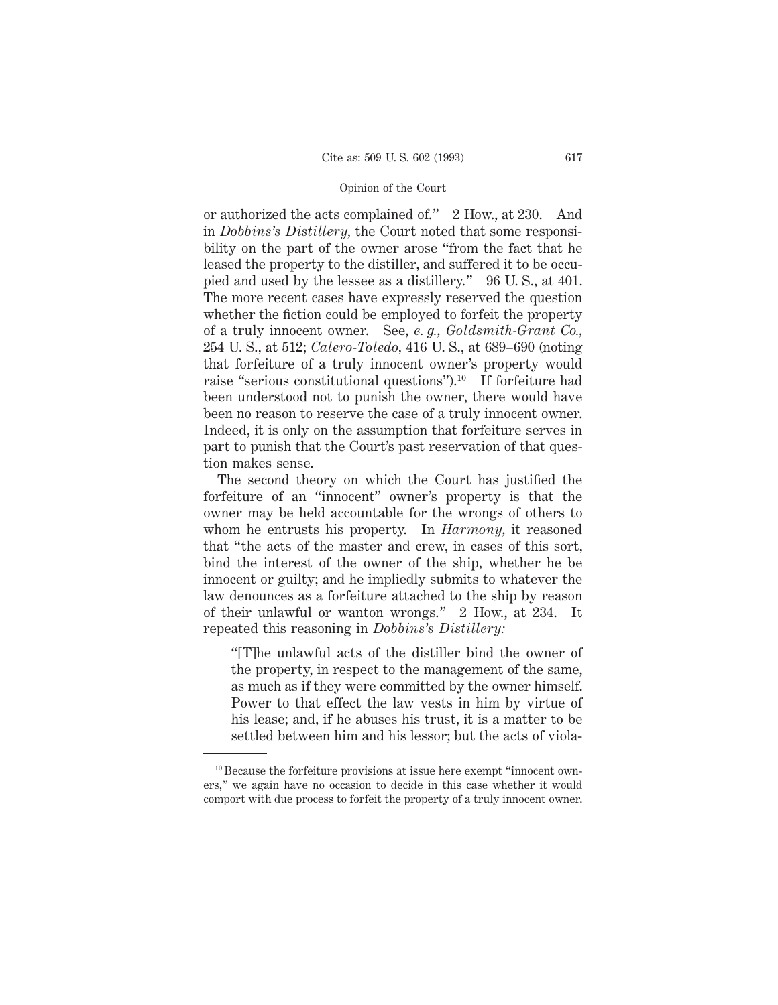or authorized the acts complained of." 2 How., at 230. And in *Dobbins's Distillery,* the Court noted that some responsibility on the part of the owner arose "from the fact that he leased the property to the distiller, and suffered it to be occupied and used by the lessee as a distillery." 96 U. S., at 401. The more recent cases have expressly reserved the question whether the fiction could be employed to forfeit the property of a truly innocent owner. See, *e. g., Goldsmith-Grant Co.,* 254 U. S., at 512; *Calero-Toledo,* 416 U. S., at 689–690 (noting that forfeiture of a truly innocent owner's property would raise "serious constitutional questions").10 If forfeiture had been understood not to punish the owner, there would have been no reason to reserve the case of a truly innocent owner. Indeed, it is only on the assumption that forfeiture serves in part to punish that the Court's past reservation of that question makes sense.

The second theory on which the Court has justified the forfeiture of an "innocent" owner's property is that the owner may be held accountable for the wrongs of others to whom he entrusts his property. In *Harmony,* it reasoned that "the acts of the master and crew, in cases of this sort, bind the interest of the owner of the ship, whether he be innocent or guilty; and he impliedly submits to whatever the law denounces as a forfeiture attached to the ship by reason of their unlawful or wanton wrongs." 2 How., at 234. It repeated this reasoning in *Dobbins's Distillery:*

"[T]he unlawful acts of the distiller bind the owner of the property, in respect to the management of the same, as much as if they were committed by the owner himself. Power to that effect the law vests in him by virtue of his lease; and, if he abuses his trust, it is a matter to be settled between him and his lessor; but the acts of viola-

<sup>&</sup>lt;sup>10</sup> Because the forfeiture provisions at issue here exempt "innocent owners," we again have no occasion to decide in this case whether it would comport with due process to forfeit the property of a truly innocent owner.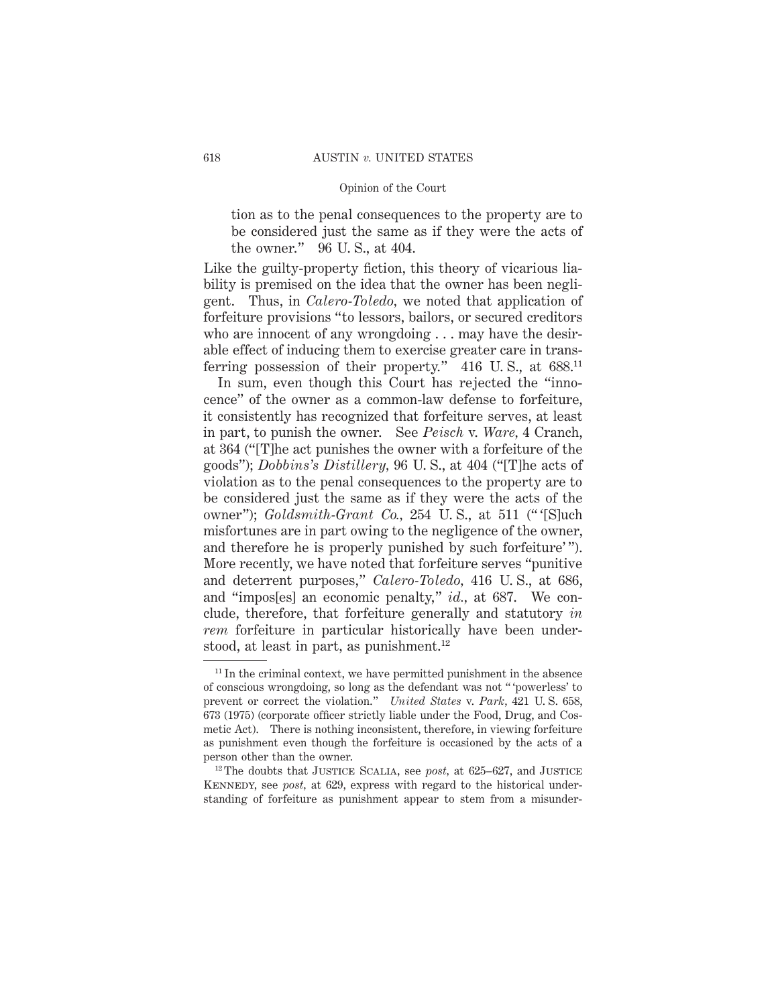tion as to the penal consequences to the property are to be considered just the same as if they were the acts of the owner." 96 U. S., at 404.

Like the guilty-property fiction, this theory of vicarious liability is premised on the idea that the owner has been negligent. Thus, in *Calero-Toledo,* we noted that application of forfeiture provisions "to lessors, bailors, or secured creditors who are innocent of any wrongdoing . . . may have the desirable effect of inducing them to exercise greater care in transferring possession of their property." 416 U.S., at 688.<sup>11</sup>

In sum, even though this Court has rejected the "innocence" of the owner as a common-law defense to forfeiture, it consistently has recognized that forfeiture serves, at least in part, to punish the owner. See *Peisch* v. *Ware,* 4 Cranch, at 364 ("[T]he act punishes the owner with a forfeiture of the goods"); *Dobbins's Distillery,* 96 U. S., at 404 ("[T]he acts of violation as to the penal consequences to the property are to be considered just the same as if they were the acts of the owner"); *Goldsmith-Grant Co.,* 254 U. S., at 511 (" '[S]uch misfortunes are in part owing to the negligence of the owner, and therefore he is properly punished by such forfeiture'". More recently, we have noted that forfeiture serves "punitive and deterrent purposes," *Calero-Toledo,* 416 U. S., at 686, and "impos[es] an economic penalty," *id.,* at 687. We conclude, therefore, that forfeiture generally and statutory *in rem* forfeiture in particular historically have been understood, at least in part, as punishment.<sup>12</sup>

 $11$  In the criminal context, we have permitted punishment in the absence of conscious wrongdoing, so long as the defendant was not " 'powerless' to prevent or correct the violation." *United States* v. *Park,* 421 U. S. 658, 673 (1975) (corporate officer strictly liable under the Food, Drug, and Cosmetic Act). There is nothing inconsistent, therefore, in viewing forfeiture as punishment even though the forfeiture is occasioned by the acts of a person other than the owner.

<sup>&</sup>lt;sup>12</sup> The doubts that JUSTICE SCALIA, see *post*, at 625–627, and JUSTICE KENNEDY, see *post*, at 629, express with regard to the historical understanding of forfeiture as punishment appear to stem from a misunder-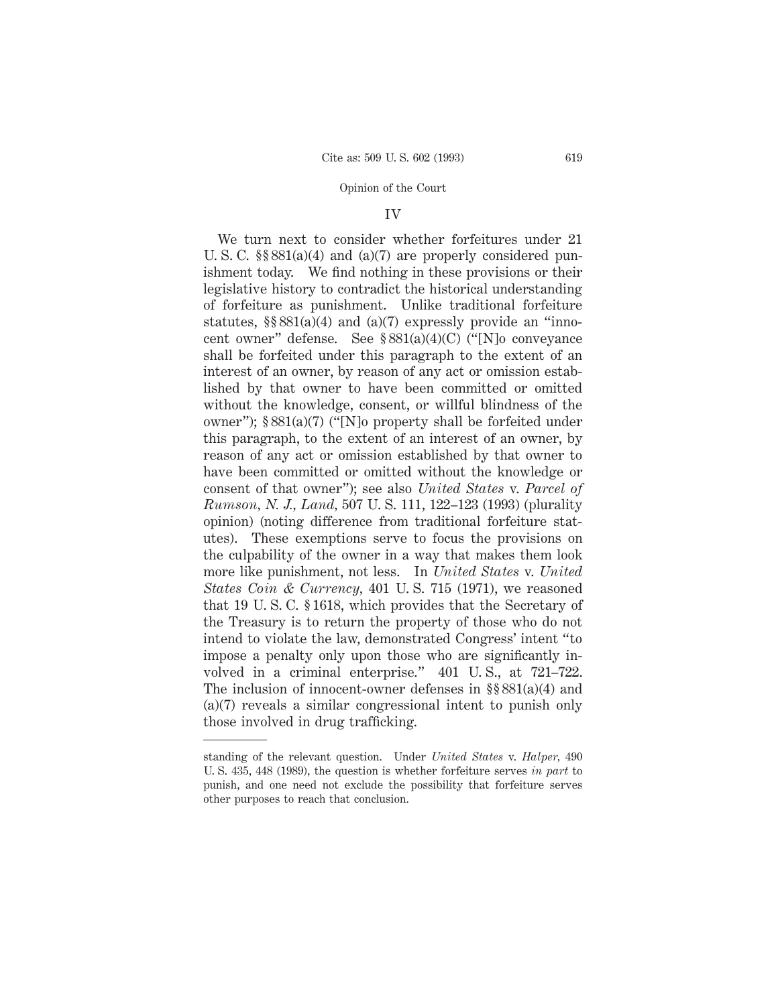#### IV

We turn next to consider whether forfeitures under 21 U. S. C. §§ 881(a)(4) and (a)(7) are properly considered punishment today. We find nothing in these provisions or their legislative history to contradict the historical understanding of forfeiture as punishment. Unlike traditional forfeiture statutes,  $\S § 881(a)(4)$  and  $(a)(7)$  expressly provide an "innocent owner" defense. See § 881(a)(4)(C) ("[N]o conveyance shall be forfeited under this paragraph to the extent of an interest of an owner, by reason of any act or omission established by that owner to have been committed or omitted without the knowledge, consent, or willful blindness of the owner"); § 881(a)(7) ("[N]o property shall be forfeited under this paragraph, to the extent of an interest of an owner, by reason of any act or omission established by that owner to have been committed or omitted without the knowledge or consent of that owner"); see also *United States* v. *Parcel of Rumson, N. J., Land,* 507 U. S. 111, 122–123 (1993) (plurality opinion) (noting difference from traditional forfeiture statutes). These exemptions serve to focus the provisions on the culpability of the owner in a way that makes them look more like punishment, not less. In *United States* v. *United States Coin & Currency,* 401 U. S. 715 (1971), we reasoned that 19 U. S. C. § 1618, which provides that the Secretary of the Treasury is to return the property of those who do not intend to violate the law, demonstrated Congress' intent "to impose a penalty only upon those who are significantly involved in a criminal enterprise." 401 U. S., at 721–722. The inclusion of innocent-owner defenses in §§ 881(a)(4) and (a)(7) reveals a similar congressional intent to punish only those involved in drug trafficking.

standing of the relevant question. Under *United States* v. *Halper,* 490 U. S. 435, 448 (1989), the question is whether forfeiture serves *in part* to punish, and one need not exclude the possibility that forfeiture serves other purposes to reach that conclusion.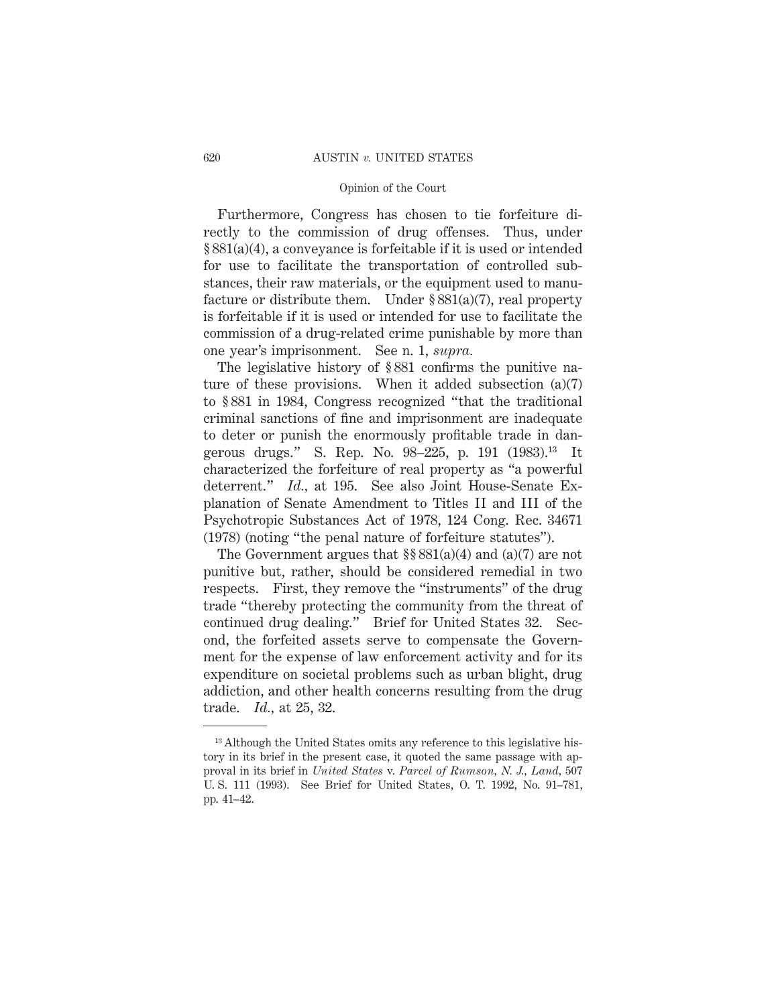Furthermore, Congress has chosen to tie forfeiture directly to the commission of drug offenses. Thus, under § 881(a)(4), a conveyance is forfeitable if it is used or intended for use to facilitate the transportation of controlled substances, their raw materials, or the equipment used to manufacture or distribute them. Under  $\S 881(a)(7)$ , real property is forfeitable if it is used or intended for use to facilitate the commission of a drug-related crime punishable by more than one year's imprisonment. See n. 1, *supra.*

The legislative history of § 881 confirms the punitive nature of these provisions. When it added subsection (a)(7) to § 881 in 1984, Congress recognized "that the traditional criminal sanctions of fine and imprisonment are inadequate to deter or punish the enormously profitable trade in dangerous drugs." S. Rep. No. 98–225, p. 191 (1983).13 It characterized the forfeiture of real property as "a powerful deterrent." *Id.,* at 195. See also Joint House-Senate Explanation of Senate Amendment to Titles II and III of the Psychotropic Substances Act of 1978, 124 Cong. Rec. 34671 (1978) (noting "the penal nature of forfeiture statutes").

The Government argues that  $\S$ § 881(a)(4) and (a)(7) are not punitive but, rather, should be considered remedial in two respects. First, they remove the "instruments" of the drug trade "thereby protecting the community from the threat of continued drug dealing." Brief for United States 32. Second, the forfeited assets serve to compensate the Government for the expense of law enforcement activity and for its expenditure on societal problems such as urban blight, drug addiction, and other health concerns resulting from the drug trade. *Id.,* at 25, 32.

<sup>&</sup>lt;sup>13</sup> Although the United States omits any reference to this legislative history in its brief in the present case, it quoted the same passage with approval in its brief in *United States* v. *Parcel of Rumson, N. J., Land,* 507 U. S. 111 (1993). See Brief for United States, O. T. 1992, No. 91–781, pp. 41–42.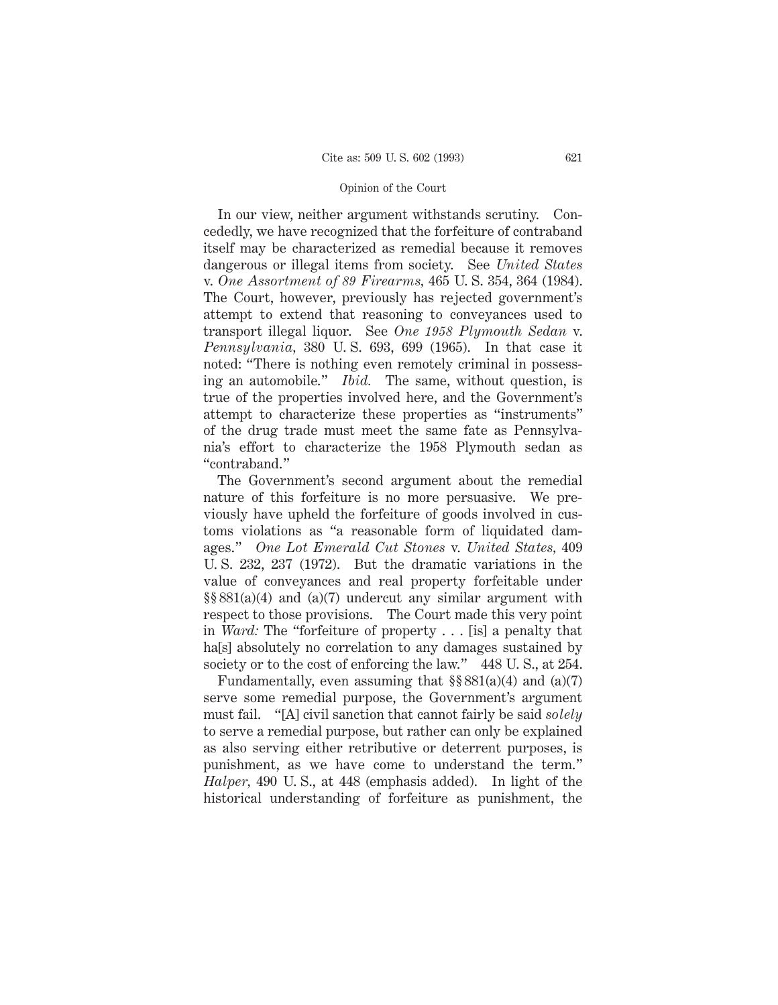In our view, neither argument withstands scrutiny. Concededly, we have recognized that the forfeiture of contraband itself may be characterized as remedial because it removes dangerous or illegal items from society. See *United States* v. *One Assortment of 89 Firearms,* 465 U. S. 354, 364 (1984). The Court, however, previously has rejected government's attempt to extend that reasoning to conveyances used to transport illegal liquor. See *One 1958 Plymouth Sedan* v. *Pennsylvania,* 380 U. S. 693, 699 (1965). In that case it noted: "There is nothing even remotely criminal in possessing an automobile." *Ibid.* The same, without question, is true of the properties involved here, and the Government's attempt to characterize these properties as "instruments" of the drug trade must meet the same fate as Pennsylvania's effort to characterize the 1958 Plymouth sedan as "contraband."

The Government's second argument about the remedial nature of this forfeiture is no more persuasive. We previously have upheld the forfeiture of goods involved in customs violations as "a reasonable form of liquidated damages." *One Lot Emerald Cut Stones* v. *United States,* 409 U. S. 232, 237 (1972). But the dramatic variations in the value of conveyances and real property forfeitable under §§ 881(a)(4) and (a)(7) undercut any similar argument with respect to those provisions. The Court made this very point in *Ward:* The "forfeiture of property . . . [is] a penalty that ha[s] absolutely no correlation to any damages sustained by society or to the cost of enforcing the law." 448 U.S., at 254.

Fundamentally, even assuming that  $\S 881(a)(4)$  and  $(a)(7)$ serve some remedial purpose, the Government's argument must fail. "[A] civil sanction that cannot fairly be said *solely* to serve a remedial purpose, but rather can only be explained as also serving either retributive or deterrent purposes, is punishment, as we have come to understand the term." *Halper,* 490 U. S., at 448 (emphasis added). In light of the historical understanding of forfeiture as punishment, the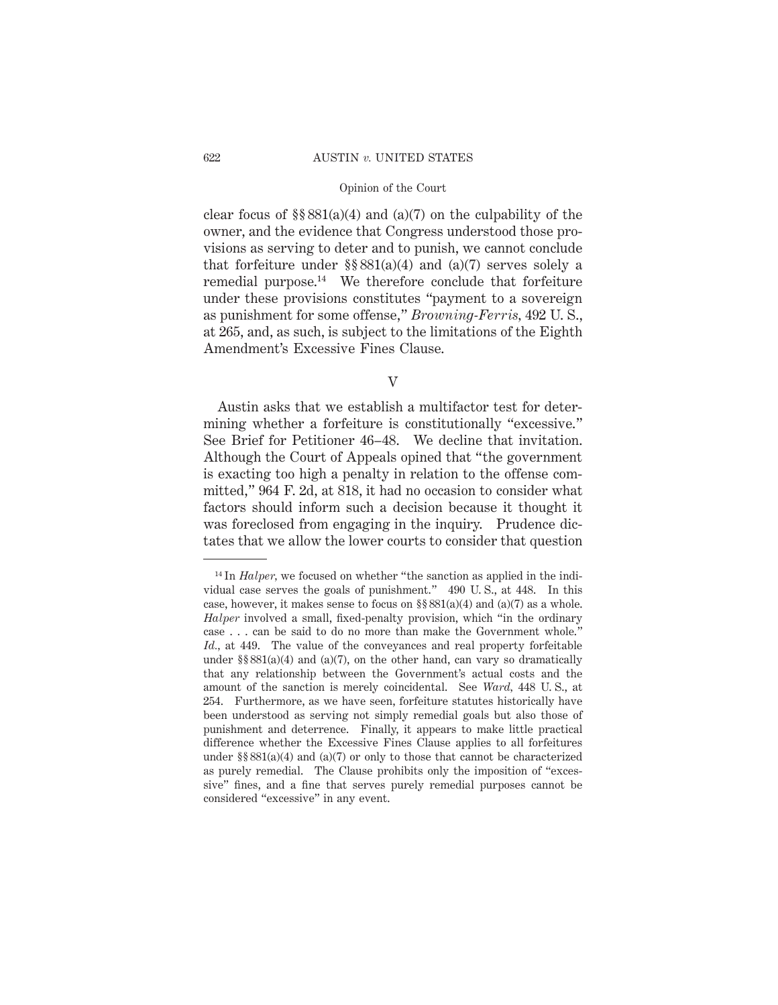#### 622 AUSTIN *v.* UNITED STATES

# Opinion of the Court

clear focus of  $\S$ § 881(a)(4) and (a)(7) on the culpability of the owner, and the evidence that Congress understood those provisions as serving to deter and to punish, we cannot conclude that forfeiture under  $\S$ § 881(a)(4) and (a)(7) serves solely a remedial purpose.14 We therefore conclude that forfeiture under these provisions constitutes "payment to a sovereign as punishment for some offense," *Browning-Ferris,* 492 U. S., at 265, and, as such, is subject to the limitations of the Eighth Amendment's Excessive Fines Clause.

V

Austin asks that we establish a multifactor test for determining whether a forfeiture is constitutionally "excessive." See Brief for Petitioner 46–48. We decline that invitation. Although the Court of Appeals opined that "the government is exacting too high a penalty in relation to the offense committed," 964 F. 2d, at 818, it had no occasion to consider what factors should inform such a decision because it thought it was foreclosed from engaging in the inquiry. Prudence dictates that we allow the lower courts to consider that question

<sup>&</sup>lt;sup>14</sup> In *Halper*, we focused on whether "the sanction as applied in the individual case serves the goals of punishment." 490 U. S., at 448. In this case, however, it makes sense to focus on  $\S § 881(a)(4)$  and  $(a)(7)$  as a whole. *Halper* involved a small, fixed-penalty provision, which "in the ordinary case . . . can be said to do no more than make the Government whole." *Id.,* at 449. The value of the conveyances and real property forfeitable under  $\S$ § 881(a)(4) and (a)(7), on the other hand, can vary so dramatically that any relationship between the Government's actual costs and the amount of the sanction is merely coincidental. See *Ward,* 448 U. S., at 254. Furthermore, as we have seen, forfeiture statutes historically have been understood as serving not simply remedial goals but also those of punishment and deterrence. Finally, it appears to make little practical difference whether the Excessive Fines Clause applies to all forfeitures under  $\S$ § 881(a)(4) and (a)(7) or only to those that cannot be characterized as purely remedial. The Clause prohibits only the imposition of "excessive" fines, and a fine that serves purely remedial purposes cannot be considered "excessive" in any event.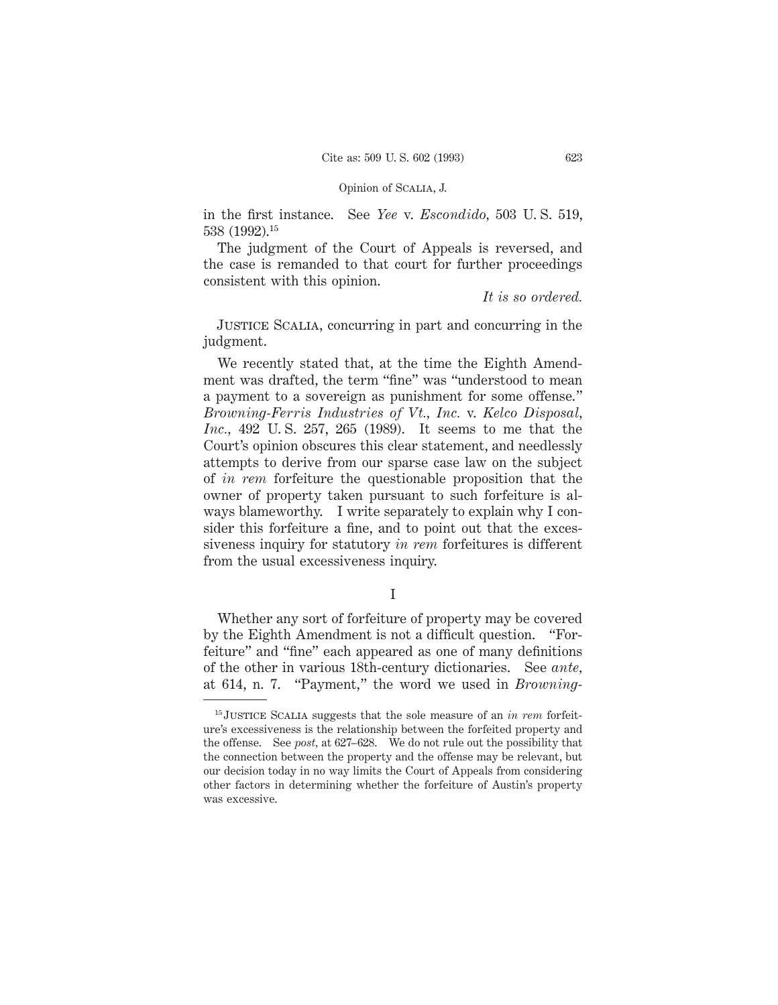in the first instance. See *Yee* v. *Escondido,* 503 U. S. 519, 538 (1992).15

The judgment of the Court of Appeals is reversed, and the case is remanded to that court for further proceedings consistent with this opinion.

*It is so ordered.*

JUSTICE SCALIA, concurring in part and concurring in the judgment.

We recently stated that, at the time the Eighth Amendment was drafted, the term "fine" was "understood to mean a payment to a sovereign as punishment for some offense." *Browning-Ferris Industries of Vt., Inc.* v. *Kelco Disposal, Inc.,* 492 U. S. 257, 265 (1989). It seems to me that the Court's opinion obscures this clear statement, and needlessly attempts to derive from our sparse case law on the subject of *in rem* forfeiture the questionable proposition that the owner of property taken pursuant to such forfeiture is always blameworthy. I write separately to explain why I consider this forfeiture a fine, and to point out that the excessiveness inquiry for statutory *in rem* forfeitures is different from the usual excessiveness inquiry.

I

Whether any sort of forfeiture of property may be covered by the Eighth Amendment is not a difficult question. "Forfeiture" and "fine" each appeared as one of many definitions of the other in various 18th-century dictionaries. See *ante,* at 614, n. 7. "Payment," the word we used in *Browning-*

<sup>15</sup> Justice Scalia suggests that the sole measure of an *in rem* forfeiture's excessiveness is the relationship between the forfeited property and the offense. See *post,* at 627–628. We do not rule out the possibility that the connection between the property and the offense may be relevant, but our decision today in no way limits the Court of Appeals from considering other factors in determining whether the forfeiture of Austin's property was excessive.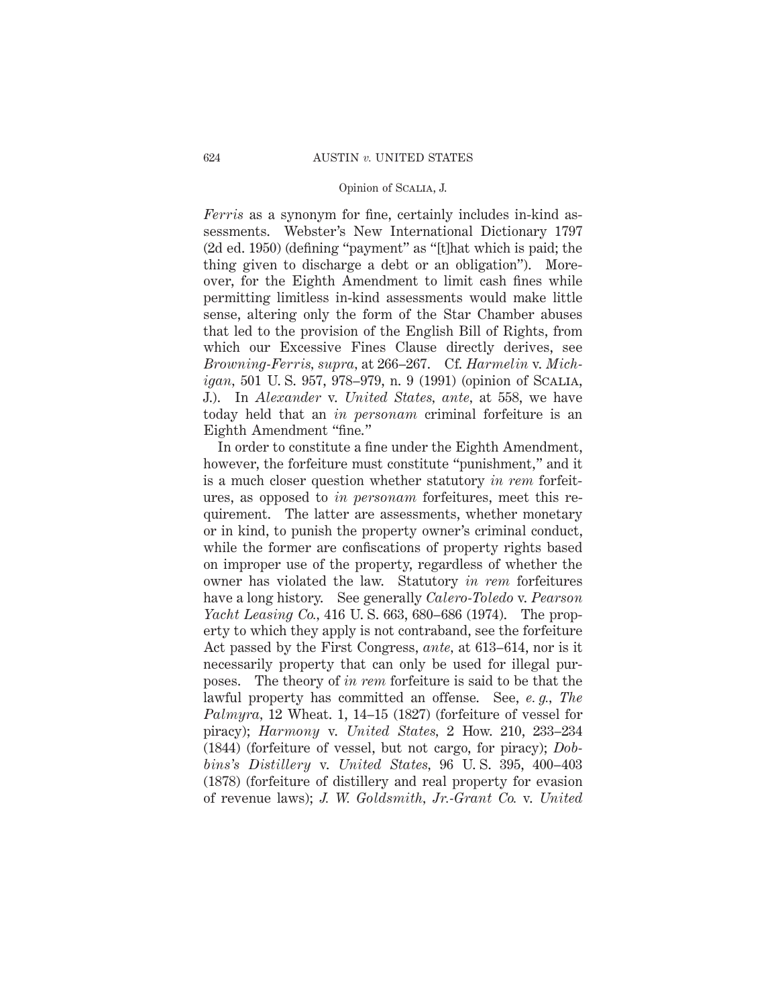*Ferris* as a synonym for fine, certainly includes in-kind assessments. Webster's New International Dictionary 1797 (2d ed. 1950) (defining "payment" as "[t]hat which is paid; the thing given to discharge a debt or an obligation"). Moreover, for the Eighth Amendment to limit cash fines while permitting limitless in-kind assessments would make little sense, altering only the form of the Star Chamber abuses that led to the provision of the English Bill of Rights, from which our Excessive Fines Clause directly derives, see *Browning-Ferris, supra,* at 266–267. Cf. *Harmelin* v. *Michigan,* 501 U. S. 957, 978–979, n. 9 (1991) (opinion of Scalia, J.). In *Alexander* v. *United States, ante,* at 558, we have today held that an *in personam* criminal forfeiture is an Eighth Amendment "fine."

In order to constitute a fine under the Eighth Amendment, however, the forfeiture must constitute "punishment," and it is a much closer question whether statutory *in rem* forfeitures, as opposed to *in personam* forfeitures, meet this requirement. The latter are assessments, whether monetary or in kind, to punish the property owner's criminal conduct, while the former are confiscations of property rights based on improper use of the property, regardless of whether the owner has violated the law. Statutory *in rem* forfeitures have a long history. See generally *Calero-Toledo* v. *Pearson Yacht Leasing Co.,* 416 U. S. 663, 680–686 (1974). The property to which they apply is not contraband, see the forfeiture Act passed by the First Congress, *ante,* at 613–614, nor is it necessarily property that can only be used for illegal purposes. The theory of *in rem* forfeiture is said to be that the lawful property has committed an offense. See, *e. g., The Palmyra,* 12 Wheat. 1, 14–15 (1827) (forfeiture of vessel for piracy); *Harmony* v. *United States,* 2 How. 210, 233–234 (1844) (forfeiture of vessel, but not cargo, for piracy); *Dobbins's Distillery* v. *United States,* 96 U. S. 395, 400–403 (1878) (forfeiture of distillery and real property for evasion of revenue laws); *J. W. Goldsmith, Jr.-Grant Co.* v. *United*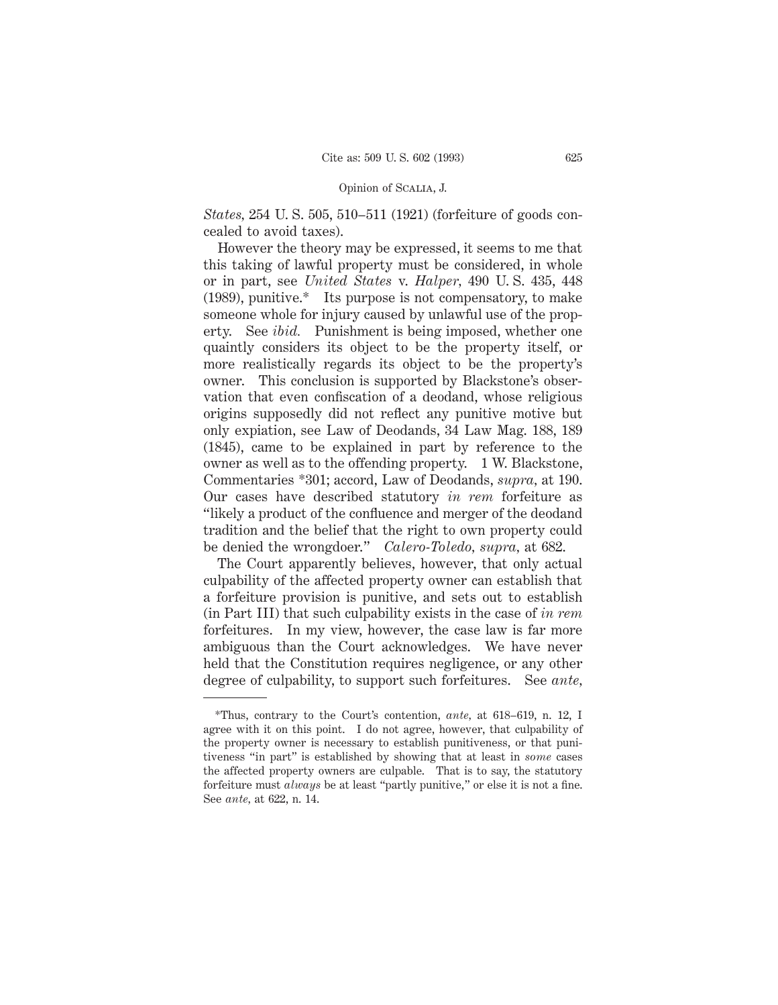*States,* 254 U. S. 505, 510–511 (1921) (forfeiture of goods concealed to avoid taxes).

However the theory may be expressed, it seems to me that this taking of lawful property must be considered, in whole or in part, see *United States* v. *Halper,* 490 U. S. 435, 448 (1989), punitive.\* Its purpose is not compensatory, to make someone whole for injury caused by unlawful use of the property. See *ibid.* Punishment is being imposed, whether one quaintly considers its object to be the property itself, or more realistically regards its object to be the property's owner. This conclusion is supported by Blackstone's observation that even confiscation of a deodand, whose religious origins supposedly did not reflect any punitive motive but only expiation, see Law of Deodands, 34 Law Mag. 188, 189 (1845), came to be explained in part by reference to the owner as well as to the offending property. 1 W. Blackstone, Commentaries \*301; accord, Law of Deodands, *supra,* at 190. Our cases have described statutory *in rem* forfeiture as "likely a product of the confluence and merger of the deodand tradition and the belief that the right to own property could be denied the wrongdoer." *Calero-Toledo, supra,* at 682.

The Court apparently believes, however, that only actual culpability of the affected property owner can establish that a forfeiture provision is punitive, and sets out to establish (in Part III) that such culpability exists in the case of *in rem* forfeitures. In my view, however, the case law is far more ambiguous than the Court acknowledges. We have never held that the Constitution requires negligence, or any other degree of culpability, to support such forfeitures. See *ante,*

<sup>\*</sup>Thus, contrary to the Court's contention, *ante,* at 618–619, n. 12, I agree with it on this point. I do not agree, however, that culpability of the property owner is necessary to establish punitiveness, or that punitiveness "in part" is established by showing that at least in *some* cases the affected property owners are culpable. That is to say, the statutory forfeiture must *always* be at least "partly punitive," or else it is not a fine. See *ante,* at 622, n. 14.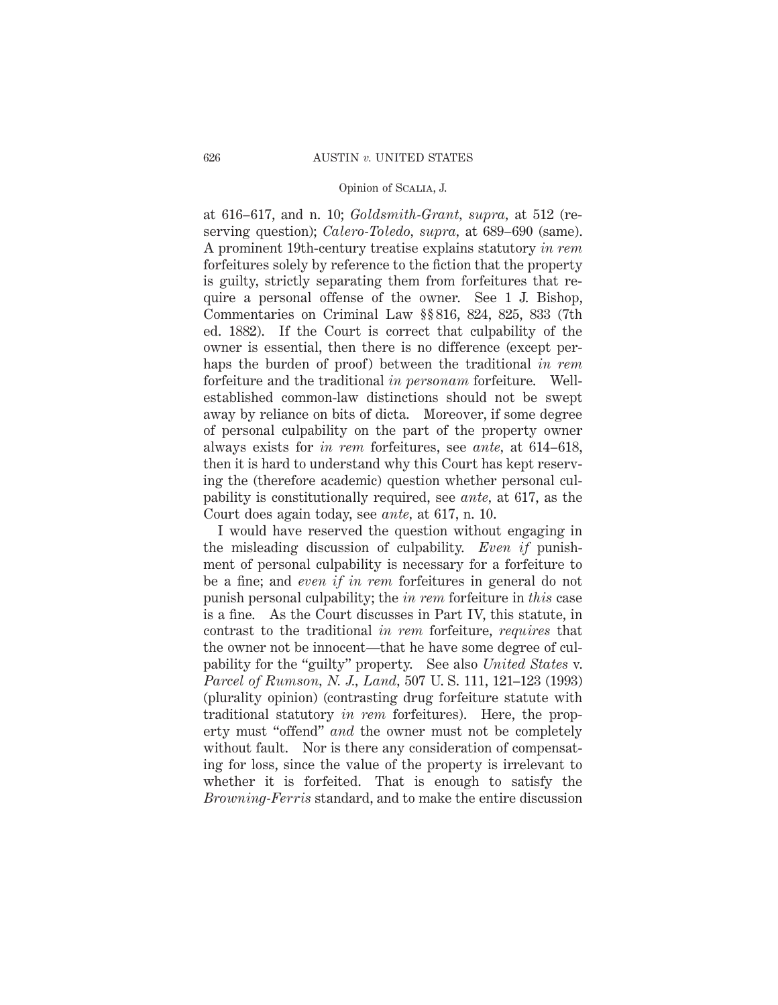at 616–617, and n. 10; *Goldsmith-Grant, supra,* at 512 (reserving question); *Calero-Toledo, supra,* at 689–690 (same). A prominent 19th-century treatise explains statutory *in rem* forfeitures solely by reference to the fiction that the property is guilty, strictly separating them from forfeitures that require a personal offense of the owner. See 1 J. Bishop, Commentaries on Criminal Law §§ 816, 824, 825, 833 (7th ed. 1882). If the Court is correct that culpability of the owner is essential, then there is no difference (except perhaps the burden of proof) between the traditional *in rem* forfeiture and the traditional *in personam* forfeiture. Wellestablished common-law distinctions should not be swept away by reliance on bits of dicta. Moreover, if some degree of personal culpability on the part of the property owner always exists for *in rem* forfeitures, see *ante,* at 614–618, then it is hard to understand why this Court has kept reserving the (therefore academic) question whether personal culpability is constitutionally required, see *ante,* at 617, as the Court does again today, see *ante,* at 617, n. 10.

I would have reserved the question without engaging in the misleading discussion of culpability. *Even if* punishment of personal culpability is necessary for a forfeiture to be a fine; and *even if in rem* forfeitures in general do not punish personal culpability; the *in rem* forfeiture in *this* case is a fine. As the Court discusses in Part IV, this statute, in contrast to the traditional *in rem* forfeiture, *requires* that the owner not be innocent—that he have some degree of culpability for the "guilty" property. See also *United States* v. *Parcel of Rumson, N. J., Land,* 507 U. S. 111, 121–123 (1993) (plurality opinion) (contrasting drug forfeiture statute with traditional statutory *in rem* forfeitures). Here, the property must "offend" *and* the owner must not be completely without fault. Nor is there any consideration of compensating for loss, since the value of the property is irrelevant to whether it is forfeited. That is enough to satisfy the *Browning-Ferris* standard, and to make the entire discussion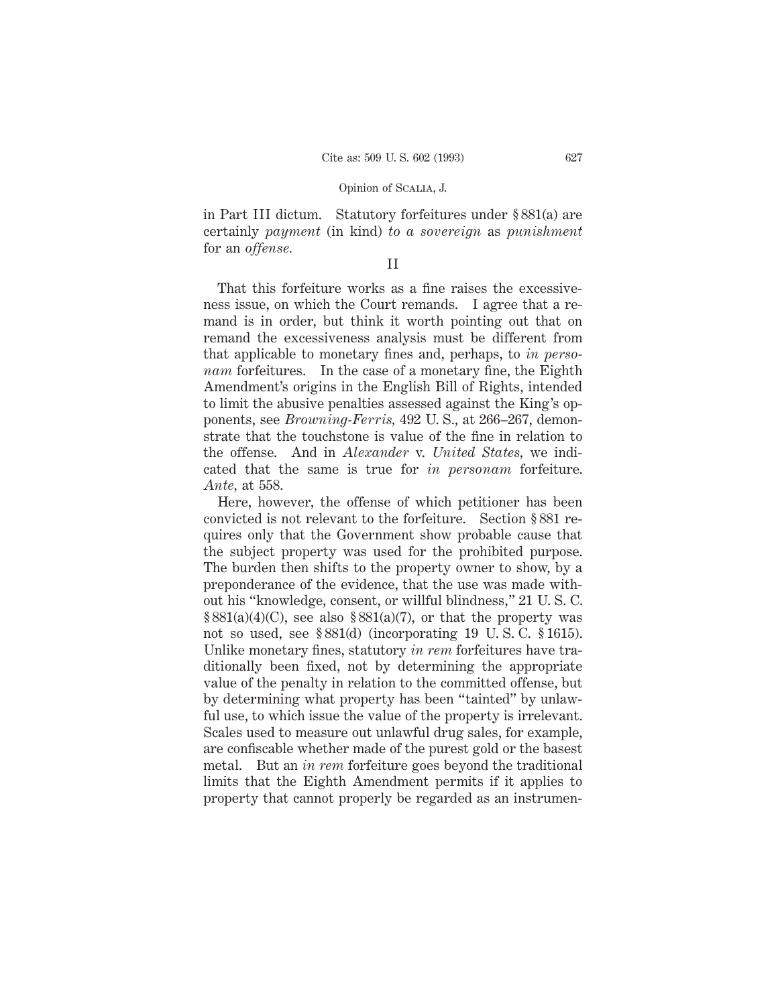in Part III dictum. Statutory forfeitures under § 881(a) are certainly *payment* (in kind) *to a sovereign* as *punishment* for an *offense.*

# II

That this forfeiture works as a fine raises the excessiveness issue, on which the Court remands. I agree that a remand is in order, but think it worth pointing out that on remand the excessiveness analysis must be different from that applicable to monetary fines and, perhaps, to *in personam* forfeitures. In the case of a monetary fine, the Eighth Amendment's origins in the English Bill of Rights, intended to limit the abusive penalties assessed against the King's opponents, see *Browning-Ferris,* 492 U. S., at 266–267, demonstrate that the touchstone is value of the fine in relation to the offense. And in *Alexander* v. *United States,* we indicated that the same is true for *in personam* forfeiture. *Ante,* at 558.

Here, however, the offense of which petitioner has been convicted is not relevant to the forfeiture. Section § 881 requires only that the Government show probable cause that the subject property was used for the prohibited purpose. The burden then shifts to the property owner to show, by a preponderance of the evidence, that the use was made without his "knowledge, consent, or willful blindness," 21 U. S. C.  $$881(a)(4)(C)$ , see also  $$881(a)(7)$ , or that the property was not so used, see § 881(d) (incorporating 19 U. S. C. § 1615). Unlike monetary fines, statutory *in rem* forfeitures have traditionally been fixed, not by determining the appropriate value of the penalty in relation to the committed offense, but by determining what property has been "tainted" by unlawful use, to which issue the value of the property is irrelevant. Scales used to measure out unlawful drug sales, for example, are confiscable whether made of the purest gold or the basest metal. But an *in rem* forfeiture goes beyond the traditional limits that the Eighth Amendment permits if it applies to property that cannot properly be regarded as an instrumen-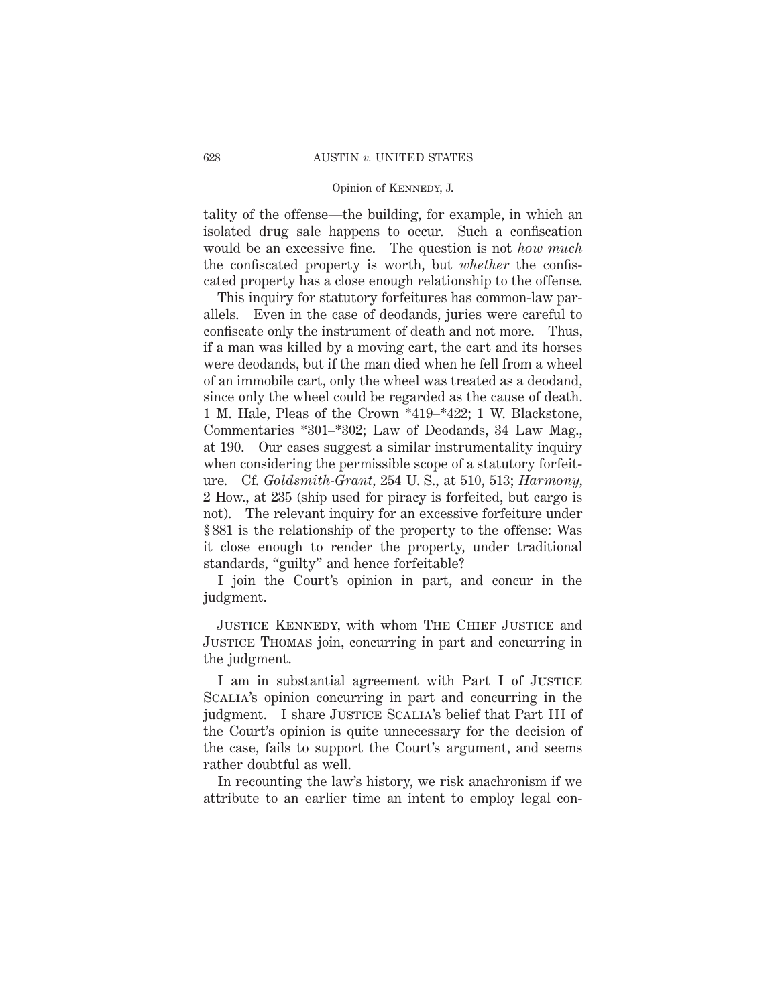#### Opinion of Kennedy, J.

tality of the offense—the building, for example, in which an isolated drug sale happens to occur. Such a confiscation would be an excessive fine. The question is not *how much* the confiscated property is worth, but *whether* the confiscated property has a close enough relationship to the offense.

This inquiry for statutory forfeitures has common-law parallels. Even in the case of deodands, juries were careful to confiscate only the instrument of death and not more. Thus, if a man was killed by a moving cart, the cart and its horses were deodands, but if the man died when he fell from a wheel of an immobile cart, only the wheel was treated as a deodand, since only the wheel could be regarded as the cause of death. 1 M. Hale, Pleas of the Crown \*419–\*422; 1 W. Blackstone, Commentaries \*301–\*302; Law of Deodands, 34 Law Mag., at 190. Our cases suggest a similar instrumentality inquiry when considering the permissible scope of a statutory forfeiture. Cf. *Goldsmith-Grant,* 254 U. S., at 510, 513; *Harmony,* 2 How., at 235 (ship used for piracy is forfeited, but cargo is not). The relevant inquiry for an excessive forfeiture under § 881 is the relationship of the property to the offense: Was it close enough to render the property, under traditional standards, "guilty" and hence forfeitable?

I join the Court's opinion in part, and concur in the judgment.

Justice Kennedy, with whom The Chief Justice and Justice Thomas join, concurring in part and concurring in the judgment.

I am in substantial agreement with Part I of JUSTICE SCALIA's opinion concurring in part and concurring in the judgment. I share JUSTICE SCALIA's belief that Part III of the Court's opinion is quite unnecessary for the decision of the case, fails to support the Court's argument, and seems rather doubtful as well.

In recounting the law's history, we risk anachronism if we attribute to an earlier time an intent to employ legal con-